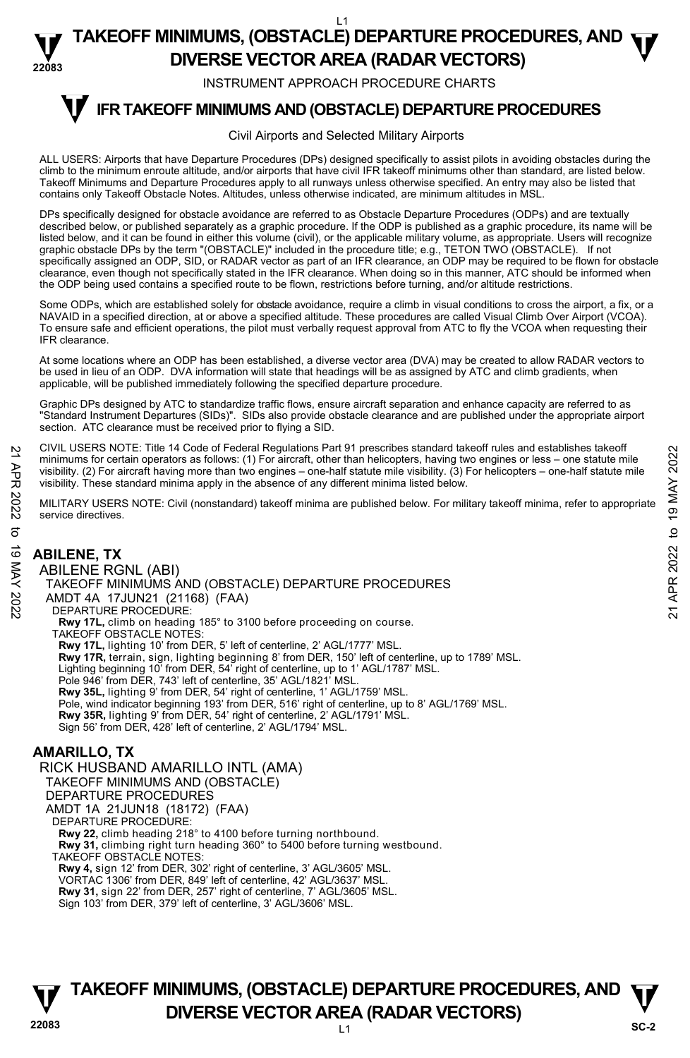#### **22083**  L1 **TAKEOFF MINIMUMS, (OBSTACLE) DEPARTURE PROCEDURES, AND**  $\Psi$ **DIVERSE VECTOR AREA (RADAR VECTORS)**

INSTRUMENT APPROACH PROCEDURE CHARTS

#### **IFR TAKEOFF MINIMUMS AND (OBSTACLE) DEPARTURE PROCEDURES T**

#### Civil Airports and Selected Military Airports

ALL USERS: Airports that have Departure Procedures (DPs) designed specifically to assist pilots in avoiding obstacles during the climb to the minimum enroute altitude, and/or airports that have civil IFR takeoff minimums other than standard, are listed below. Takeoff Minimums and Departure Procedures apply to all runways unless otherwise specified. An entry may also be listed that contains only Takeoff Obstacle Notes. Altitudes, unless otherwise indicated, are minimum altitudes in MSL.

DPs specifically designed for obstacle avoidance are referred to as Obstacle Departure Procedures (ODPs) and are textually described below, or published separately as a graphic procedure. If the ODP is published as a graphic procedure, its name will be listed below, and it can be found in either this volume (civil), or the applicable military volume, as appropriate. Users will recognize graphic obstacle DPs by the term "(OBSTACLE)" included in the procedure title; e.g., TETON TWO (OBSTACLE). If not specifically assigned an ODP, SID, or RADAR vector as part of an IFR clearance, an ODP may be required to be flown for obstacle clearance, even though not specifically stated in the IFR clearance. When doing so in this manner, ATC should be informed when the ODP being used contains a specified route to be flown, restrictions before turning, and/or altitude restrictions.

Some ODPs, which are established solely for obstacle avoidance, require a climb in visual conditions to cross the airport, a fix, or a NAVAID in a specified direction, at or above a specified altitude. These procedures are called Visual Climb Over Airport (VCOA). To ensure safe and efficient operations, the pilot must verbally request approval from ATC to fly the VCOA when requesting their IFR clearance.

At some locations where an ODP has been established, a diverse vector area (DVA) may be created to allow RADAR vectors to be used in lieu of an ODP. DVA information will state that headings will be as assigned by ATC and climb gradients, when applicable, will be published immediately following the specified departure procedure.

Graphic DPs designed by ATC to standardize traffic flows, ensure aircraft separation and enhance capacity are referred to as "Standard Instrument Departures (SIDs)". SIDs also provide obstacle clearance and are published under the appropriate airport section. ATC clearance must be received prior to flying a SID.

CIVIL USERS NOTE: Title 14 Code of Federal Regulations Part 91 prescribes standard takeoff rules and establishes takeoff minimums for certain operators as follows: (1) For aircraft, other than helicopters, having two engines or less – one statute mile visibility. (2) For aircraft having more than two engines – one-half statute mile visibility. (3) For helicopters – one-half statute mile visibility. These standard minima apply in the absence of any different minima listed below. 21 CIVIL USERS NOTE: THe 14 Code or Federal regulations Part 91 prescinces standard takeoff minimums for certain operators as follows: (1) For aircraft, due than helicopters, having two engines or less – one-half statute

MILITARY USERS NOTE: Civil (nonstandard) takeoff minima are published below. For military takeoff minima, refer to appropriate service directives.

# **ABILENE, TX**  ABILENE RGNL (ABI) DEPARTURE PROCEDURE: TAKEOFF OBSTACLE NOTES:

TAKEOFF MINIMUMS AND (OBSTACLE) DEPARTURE PROCEDURES AMDT 4A 17JUN21 (21168) (FAA) **Rwy 17L,** climb on heading 185° to 3100 before proceeding on course. **Rwy 17L,** lighting 10' from DER, 5' left of centerline, 2' AGL/1777' MSL. **Rwy 17R,** terrain, sign, lighting beginning 8' from DER, 150' left of centerline, up to 1789' MSL. Lighting beginning 10' from DER, 54' right of centerline, up to 1' AGL/1787' MSL. Pole 946' from DER, 743' left of centerline, 35' AGL/1821' MSL. **Rwy 35L,** lighting 9' from DER, 54' right of centerline, 1' AGL/1759' MSL. Pole, wind indicator beginning 193' from DER, 516' right of centerline, up to 8' AGL/1769' MSL. **Rwy 35R,** lighting 9' from DER, 54' right of centerline, 2' AGL/1791' MSL. Sign 56' from DER, 428' left of centerline, 2' AGL/1794' MSL.

# **AMARILLO, TX**

RICK HUSBAND AMARILLO INTL (AMA) TAKEOFF MINIMUMS AND (OBSTACLE) DEPARTURE PROCEDURES AMDT 1A 21JUN18 (18172) (FAA) DEPARTURE PROCEDURE: **Rwy 22,** climb heading 218° to 4100 before turning northbound. **Rwy 31,** climbing right turn heading 360° to 5400 before turning westbound. TAKEOFF OBSTACLE NOTES: **Rwy 4,** sign 12' from DER, 302' right of centerline, 3' AGL/3605' MSL. VORTAC 1306' from DER, 849' left of centerline, 42' AGL/3637' MSL.

**Rwy 31,** sign 22' from DER, 257' right of centerline, 7' AGL/3605' MSL.

Sign 103' from DER, 379' left of centerline, 3' AGL/3606' MSL.

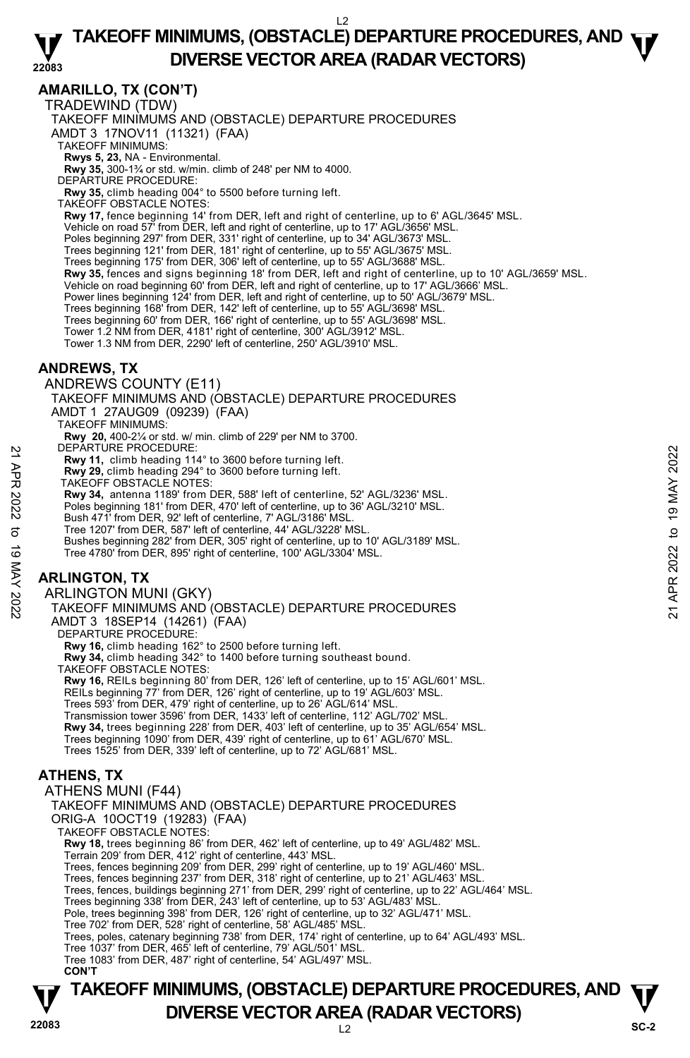#### **22083 TAKEOFF MINIMUMS, (OBSTACLE) DEPARTURE PROCEDURES, AND**  $\Psi$ **DIVERSE VECTOR AREA (RADAR VECTORS)**

**AMARILLO, TX (CON'T)** 

TRADEWIND (TDW)

TAKEOFF MINIMUMS AND (OBSTACLE) DEPARTURE PROCEDURES

AMDT 3 17NOV11 (11321) (FAA)

TAKEOFF MINIMUMS:

**Rwys 5, 23,** NA - Environmental.<br>**Rwy 35,** 300-1¾ or std. w/min. climb of 248' per NM to 4000.

DEPARTURE PROCEDURE:

**Rwy 35,** climb heading 004° to 5500 before turning left.

TAKEOFF OBSTACLE NOTES:

**Rwy 17,** fence beginning 14' from DER, left and right of centerline, up to 6' AGL/3645' MSL.

Vehicle on road 57' from DER, left and right of centerline, up to 17' AGL/3656' MSL.

Poles beginning 297' from DER, 331' right of centerline, up to 34' AGL/3673' MSL. Trees beginning 121' from DER, 181' right of centerline, up to 55' AGL/3675' MSL.

Trees beginning 175' from DER, 306' left of centerline, up to 55' AGL/3688' MSL.

**Rwy 35,** fences and signs beginning 18' from DER, left and right of centerline, up to 10' AGL/3659' MSL.<br>Vehicle on road beginning 60' from DER, left and right of centerline, up to 17' AGL/3666' MSL.

Power lines beginning 124' from DER, left and right of centerline, up to 50' AGL/3679' MSL.

Trees beginning 168' from DER, 142' left of centerline, up to 55' AGL/3698' MSL.

Trees beginning 60' from DER, 166' right of centerline, up to 55' AGL/3698' MSL. Tower 1.2 NM from DER, 4181' right of centerline, 300' AGL/3912' MSL.

Tower 1.3 NM from DER, 2290' left of centerline, 250' AGL/3910' MSL.

### **ANDREWS, TX**

ANDREWS COUNTY (E11)

TAKEOFF MINIMUMS AND (OBSTACLE) DEPARTURE PROCEDURES AMDT 1 27AUG09 (09239) (FAA) TAKEOFF MINIMUMS:

**Rwy 20,** 400-2¼ or std. w/ min. climb of 229' per NM to 3700. DEPARTURE PROCEDURE:

**Rwy 11,** climb heading 114° to 3600 before turning left.

**Rwy 29,** climb heading 294° to 3600 before turning left. TAKEOFF OBSTACLE NOTES:

**Rwy 34,** antenna 1189' from DER, 588' left of centerline, 52' AGL/3236' MSL.

Poles beginning 181' from DER, 470' left of centerline, up to 36' AGL/3210' MSL.

Bush 471' from DER, 92' left of centerline, 7' AGL/3186' MSL.

Tree 1207' from DER, 587' left of centerline, 44' AGL/3228' MSL.

Bushes beginning 282' from DER, 305' right of centerline, up to 10' AGL/3189' MSL. Tree 4780' from DER, 895' right of centerline, 100' AGL/3304' MSL. 22 EFARIUNG PROCEDURE<br>
22 Rwy 11, climb heading 194° to 3600 before turning left.<br>
23 TAKEOFF OBSTACLE NOTES:<br>
22 AGL/3236' MSL.<br>
22 New 29, climb heading 294° to 3600 before turning left.<br>
22 New 34, antenna 1189' from D

# **ARLINGTON, TX**

ARLINGTON MUNI (GKY)

TAKEOFF MINIMUMS AND (OBSTACLE) DEPARTURE PROCEDURES AMDT 3 18SEP14 (14261) (FAA)

DEPARTURE PROCEDURE:

**Rwy 16,** climb heading 162° to 2500 before turning left.

**Rwy 34,** climb heading 342° to 1400 before turning southeast bound.

TAKEOFF OBSTACLE NOTES:

**Rwy 16,** REILs beginning 80' from DER, 126' left of centerline, up to 15' AGL/601' MSL.

REILs beginning 77' from DER, 126' right of centerline, up to 19' AGL/603' MSL.

Trees 593' from DER, 479' right of centerline, up to 26' AGL/614' MSL.

Transmission tower 3596' from DER, 1433' left of centerline, 112' AGL/702' MSL.

**Rwy 34,** trees beginning 228' from DER, 403' left of centerline, up to 35' AGL/654' MSL.

Trees beginning 1090' from DER, 439' right of centerline, up to 61' AGL/670' MSL.

Trees 1525' from DER, 339' left of centerline, up to 72' AGL/681' MSL.

# **ATHENS, TX**

ATHENS MUNI (F44) TAKEOFF MINIMUMS AND (OBSTACLE) DEPARTURE PROCEDURES ORIG-A 10OCT19 (19283) (FAA) TAKEOFF OBSTACLE NOTES: **Rwy 18,** trees beginning 86' from DER, 462' left of centerline, up to 49' AGL/482' MSL. Terrain 209' from DER, 412' right of centerline, 443' MSL. Trees, fences beginning 209' from DER, 299' right of centerline, up to 19' AGL/460' MSL. Trees, fences beginning 237' from DER, 318' right of centerline, up to 21' AGL/463' MSL. Trees, fences, buildings beginning 271' from DER, 299' right of centerline, up to 22' AGL/464' MSL. Trees beginning 338' from DER, 243' left of centerline, up to 53' AGL/483' MSL. Pole, trees beginning 398' from DER, 126' right of centerline, up to 32' AGL/471' MSL. Tree 702' from DER, 528' right of centerline, 58' AGL/485' MSL. Trees, poles, catenary beginning 738' from DER, 174' right of centerline, up to 64' AGL/493' MSL. Tree 1037' from DER, 465' left of centerline, 79' AGL/501' MSL. Tree 1083' from DER, 487' right of centerline, 54' AGL/497' MSL.  **CON'T** 

# **22083** L2 **TAKEOFF MINIMUMS, (OBSTACLE) DEPARTURE PROCEDURES, AND**  $\Psi$ **DIVERSE VECTOR AREA (RADAR VECTORS)** SC-2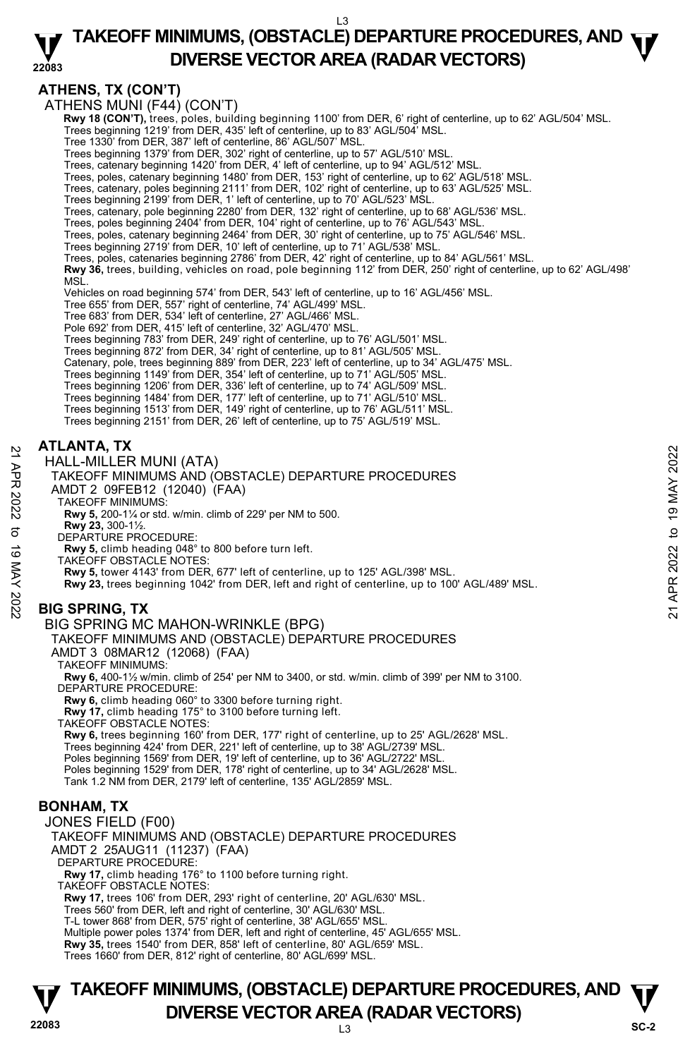#### **22083**  L3 **TAKEOFF MINIMUMS, (OBSTACLE) DEPARTURE PROCEDURES, AND**  $\Psi$ **DIVERSE VECTOR AREA (RADAR VECTORS)**

**ATHENS, TX (CON'T)** 

ATHENS MUNI (F44) (CON'T)

 **Rwy 18 (CON'T),** trees, poles, building beginning 1100' from DER, 6' right of centerline, up to 62' AGL/504' MSL.

Trees beginning 1219' from DER, 435' left of centerline, up to 83' AGL/504' MSL. Tree 1330' from DER, 387' left of centerline, 86' AGL/507' MSL.

Trees beginning 1379' from DER, 302' right of centerline, up to 57' AGL/510' MSL. Trees, catenary beginning 1420' from DER, 4' left of centerline, up to 94' AGL/512' MSL.

Trees, poles, catenary beginning 1480' from DER, 153' right of centerline, up to 62' AGL/518' MSL. Trees, catenary, poles beginning 2111' from DER, 102' right of centerline, up to 63' AGL/525' MSL.

Trees beginning 2199' from DER, 1' left of centerline, up to 70' AGL/523' MSL.<br>Trees, catenary, pole beginning 2280' from DER, 132' right of centerline, up to 68' AGL/536' MSL.

Trees, poles beginning 2404' from DER, 104' right of centerline, up to 76' AGL/543' MSL.

Trees, poles, catenary beginning 2464' from DER, 30' right of centerline, up to 75' AGL/546' MSL.<br>Trees beginning 2719' from DER, 10' left of centerline, up to 71' AGL/538' MSL.

Trees, poles, catenaries beginning 2786' from DER, 42' right of centerline, up to 84' AGL/561' MSL.

**Rwy 36,** trees, building, vehicles on road, pole beginning 112' from DER, 250' right of centerline, up to 62' AGL/498' MSL.

Vehicles on road beginning 574' from DER, 543' left of centerline, up to 16' AGL/456' MSL.

Tree 655' from DER, 557' right of centerline, 74' AGL/499' MSL.

Tree 683' from DER, 534' left of centerline, 27' AGL/466' MSL.

Pole 692' from DER, 415' left of centerline, 32' AGL/470' MSL.

Trees beginning 783' from DER, 249' right of centerline, up to 76' AGL/501' MSL.

Trees beginning 872' from DER, 34' right of centerline, up to 81' AGL/505' MSL. Catenary, pole, trees beginning 889' from DER, 223' left of centerline, up to 34' AGL/475' MSL.

Trees beginning 1149' from DER, 354' left of centerline, up to 71' AGL/505' MSL.

Trees beginning 1206' from DER, 336' left of centerline, up to 74' AGL/509' MSL.

Trees beginning 1484' from DER, 177' left of centerline, up to 71' AGL/510' MSL. Trees beginning 1513' from DER, 149' right of centerline, up to 76' AGL/511' MSL.

Trees beginning 2151' from DER, 26' left of centerline, up to 75' AGL/519' MSL.

### **ATLANTA, TX**

HALL-MILLER MUNI (ATA)

TAKEOFF MINIMUMS AND (OBSTACLE) DEPARTURE PROCEDURES AT EXAMPLE MUNI (ATA)<br>
THALL-MILLER MUNI (ATA)<br>
TAKEOFF MINIMUMS AND (OBSTACLE) DEPARTURE PROCEDURES<br>
AMDT 2 09FEB12 (12040) (FAA)<br>
TAKEOFF MINIMUMS:<br>
TAKEOFF MINIMUMS:<br>
RWY 5, 300-1½.<br>
BEPARTURE PROCEDURE:<br>
RWY 23, 300-1

AMDT 2 09FEB12 (12040) (FAA) TAKEOFF MINIMUMS:

**Rwy 5,** 200-1¼ or std. w/min. climb of 229' per NM to 500.

**Rwy 23,** 300-1½.

DEPARTURE PROCEDURE:

**Rwy 5,** climb heading 048° to 800 before turn left.

TAKEOFF OBSTACLE NOTES:

**Rwy 5,** tower 4143' from DER, 677' left of centerline, up to 125' AGL/398' MSL.

**Rwy 23,** trees beginning 1042' from DER, left and right of centerline, up to 100' AGL/489' MSL.

# **BIG SPRING, TX**

#### BIG SPRING MC MAHON-WRINKLE (BPG)

TAKEOFF MINIMUMS AND (OBSTACLE) DEPARTURE PROCEDURES

AMDT 3 08MAR12 (12068) (FAA)

TAKEOFF MINIMUMS:

**Rwy 6,** 400-1½ w/min. climb of 254' per NM to 3400, or std. w/min. climb of 399' per NM to 3100. DEPARTURE PROCEDURE:

**Rwy 6,** climb heading 060° to 3300 before turning right.

**Rwy 17,** climb heading 175° to 3100 before turning left. TAKEOFF OBSTACLE NOTES:

**Rwy 6,** trees beginning 160' from DER, 177' right of centerline, up to 25' AGL/2628' MSL. Trees beginning 424' from DER, 221' left of centerline, up to 38' AGL/2739' MSL. Poles beginning 1569' from DER, 19' left of centerline, up to 36' AGL/2722' MSL. Poles beginning 1529' from DER, 178' right of centerline, up to 34' AGL/2628' MSL. Tank 1.2 NM from DER, 2179' left of centerline, 135' AGL/2859' MSL.

#### **BONHAM, TX**

JONES FIELD (F00) TAKEOFF MINIMUMS AND (OBSTACLE) DEPARTURE PROCEDURES AMDT 2 25AUG11 (11237) (FAA) DEPARTURE PROCEDURE: **Rwy 17,** climb heading 176° to 1100 before turning right. TAKEOFF OBSTACLE NOTES: **Rwy 17,** trees 106' from DER, 293' right of centerline, 20' AGL/630' MSL. Trees 560' from DER, left and right of centerline, 30' AGL/630' MSL. T-L tower 868' from DER, 575' right of centerline, 38' AGL/655' MSL. Multiple power poles 1374' from DER, left and right of centerline, 45' AGL/655' MSL. **Rwy 35,** trees 1540' from DER, 858' left of centerline, 80' AGL/659' MSL.

Trees 1660' from DER, 812' right of centerline, 80' AGL/699' MSL.

**22083** L3 **TAKEOFF MINIMUMS, (OBSTACLE) DEPARTURE PROCEDURES, AND**  $\Psi$ **DIVERSE VECTOR AREA (RADAR VECTORS)** Sc-2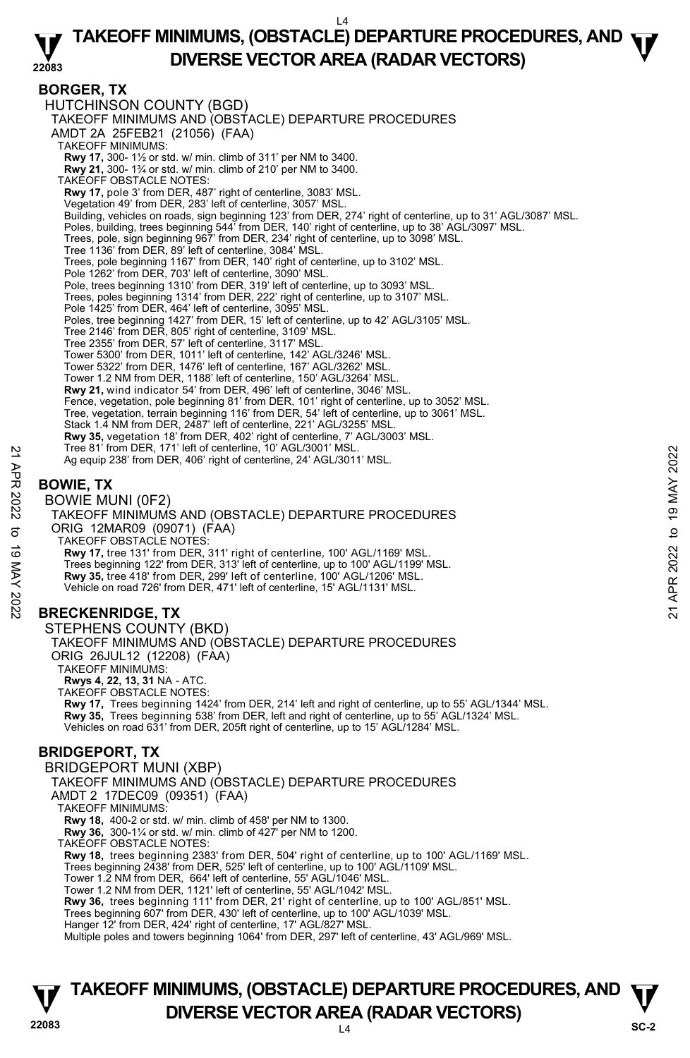#### **22083 TAKEOFF MINIMUMS, (OBSTACLE) DEPARTURE PROCEDURES, AND**  $\Psi$ **DIVERSE VECTOR AREA (RADAR VECTORS)**

#### **BORGER, TX**

HUTCHINSON COUNTY (BGD) TAKEOFF MINIMUMS AND (OBSTACLE) DEPARTURE PROCEDURES AMDT 2A 25FEB21 (21056) (FAA) TAKEOFF MINIMUMS: **Rwy 17,** 300- 1½ or std. w/ min. climb of 311' per NM to 3400. **Rwy 21,** 300- 1¾ or std. w/ min. climb of 210' per NM to 3400. TAKEOFF OBSTACLE NOTES: **Rwy 17,** pole 3' from DER, 487' right of centerline, 3083' MSL. Vegetation 49' from DER, 283' left of centerline, 3057' MSL. Building, vehicles on roads, sign beginning 123' from DER, 274' right of centerline, up to 31' AGL/3087' MSL. Poles, building, trees beginning 544' from DER, 140' right of centerline, up to 38' AGL/3097' MSL.<br>Trees, pole, sign beginning 967' from DER, 234' right of centerline, up to 3098' MSL.<br>Tree 1136' from DER, 89' left of cent Trees, pole beginning 1167' from DER, 140' right of centerline, up to 3102' MSL. Pole 1262' from DER, 703' left of centerline, 3090' MSL. Pole, trees beginning 1310' from DER, 319' left of centerline, up to 3093' MSL. Trees, poles beginning 1314' from DER, 222' right of centerline, up to 3107' MSL. Pole 1425' from DER, 464' left of centerline, 3095' MSL. Poles, tree beginning 1427' from DER, 15' left of centerline, up to 42' AGL/3105' MSL. Tree 2146' from DER, 805' right of centerline, 3109' MSL. Tree 2355' from DER, 57' left of centerline, 3117' MSL. Tower 5300' from DER, 1011' left of centerline, 142' AGL/3246' MSL. Tower 5322' from DER, 1476' left of centerline, 167' AGL/3262' MSL. Tower 1.2 NM from DER, 1188' left of centerline, 150' AGL/3264' MSL. **Rwy 21,** wind indicator 54' from DER, 496' left of centerline, 3046' MSL. Fence, vegetation, pole beginning 81' from DER, 101' right of centerline, up to 3052' MSL. Tree, vegetation, terrain beginning 116' from DER, 54' left of centerline, up to 3061' MSL. Stack 1.4 NM from DER, 2487' left of centerline, 221' AGL/3255' MSL. **Rwy 35,** vegetation 18' from DER, 402' right of centerline, 7' AGL/3003' MSL.<br>Tree 81' from DER, 171' left of centerline, 10' AGL/3001' MSL. Ag equip 238' from DER, 406' right of centerline, 24' AGL/3011' MSL. **BOWIE, TX**  BOWIE MUNI (0F2) TAKEOFF MINIMUMS AND (OBSTACLE) DEPARTURE PROCEDURES ORIG 12MAR09 (09071) (FAA) TAKEOFF OBSTACLE NOTES: **Rwy 17,** tree 131' from DER, 311' right of centerline, 100' AGL/1169' MSL. Trees beginning 122' from DER, 313' left of centerline, up to 100' AGL/1199' MSL. **Rwy 35,** tree 418' from DER, 299' left of centerline, 100' AGL/1206' MSL. Vehicle on road 726' from DER, 471' left of centerline, 15' AGL/1131' MSL. **BRECKENRIDGE, TX**  STEPHENS COUNTY (BKD) TAKEOFF MINIMUMS AND (OBSTACLE) DEPARTURE PROCEDURES ORIG 26JUL12 (12208) (FAA) TAKEOFF MINIMUMS: **Rwys 4, 22, 13, 31** NA - ATC. TAKEOFF OBSTACLE NOTES: **Rwy 17,** Trees beginning 1424' from DER, 214' left and right of centerline, up to 55' AGL/1344' MSL. **Rwy 35,** Trees beginning 538' from DER, left and right of centerline, up to 55' AGL/1324' MSL. Vehicles on road 631' from DER, 205ft right of centerline, up to 15' AGL/1284' MSL. **BRIDGEPORT, TX**  BRIDGEPORT MUNI (XBP) TAKEOFF MINIMUMS AND (OBSTACLE) DEPARTURE PROCEDURES AMDT 2 17DEC09 (09351) (FAA) TAKEOFF MINIMUMS: **Rwy 18,** 400-2 or std. w/ min. climb of 458' per NM to 1300. **Rwy 36,** 300-1¼ or std. w/ min. climb of 427' per NM to 1200. TAKEOFF OBSTACLE NOTES: **Rwy 18,** trees beginning 2383' from DER, 504' right of centerline, up to 100' AGL/1169' MSL. Trees beginning 2438' from DER, 525' left of centerline, up to 100' AGL/1109' MSL. Tower 1.2 NM from DER, 664' left of centerline, 55' AGL/1046' MSL. Tower 1.2 NM from DER, 1121' left of centerline, 55' AGL/1042' MSL. **Rwy 36,** trees beginning 111' from DER, 21' right of centerline, up to 100' AGL/851' MSL. Trees beginning 607' from DER, 430' left of centerline, up to 100' AGL/1039' MSL. 22 Iree 81 Trom DER, 171 left of centerline, 10' AGL/3001' MSL.<br>
Age equip 238' from DER, 406' right of centerline, 24' AGL/3011' MSL.<br> **BOWIE, TX**<br>
BOWIE MUNI (OF2)<br>
TAKEOFF MINIMUMS AND (OBSTACLE) DEPARTURE PROCEDURES<br>

Hanger 12' from DER, 424' right of centerline, 17' AGL/827' MSL.

Multiple poles and towers beginning 1064' from DER, 297' left of centerline, 43' AGL/969' MSL.

# **22083** L4 **TAKEOFF MINIMUMS, (OBSTACLE) DEPARTURE PROCEDURES, AND**  $\Psi$ **DIVERSE VECTOR AREA (RADAR VECTORS)** SC-2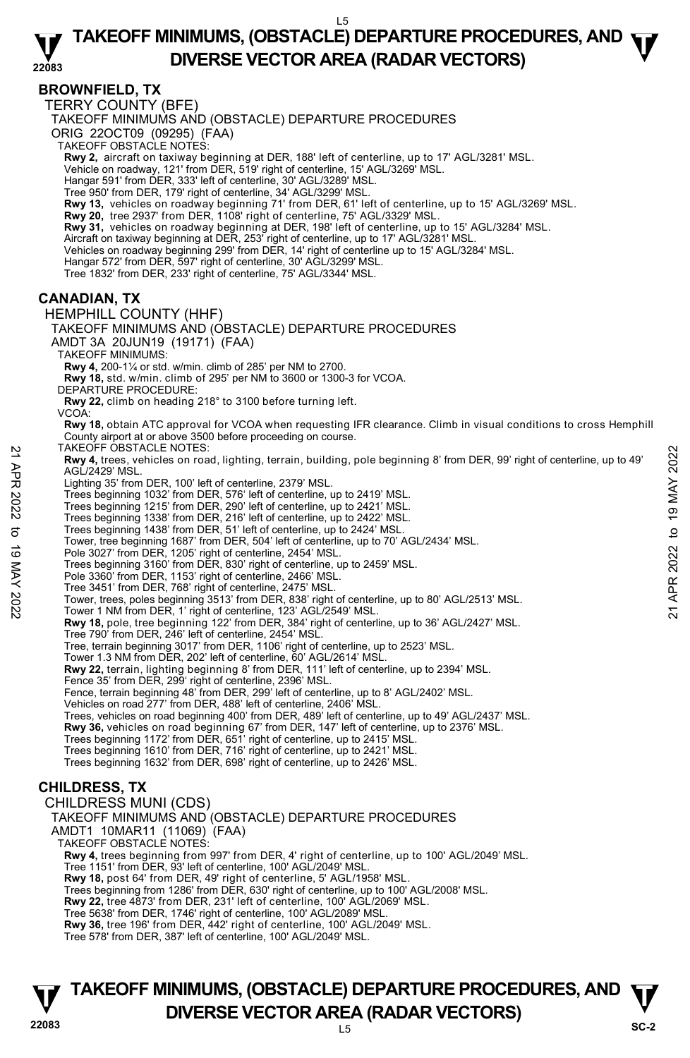#### **22083 TAKEOFF MINIMUMS, (OBSTACLE) DEPARTURE PROCEDURES, AND**  $\Psi$ **DIVERSE VECTOR AREA (RADAR VECTORS)**

# **BROWNFIELD, TX**

TERRY COUNTY (BFE)

TAKEOFF MINIMUMS AND (OBSTACLE) DEPARTURE PROCEDURES

ORIG 22OCT09 (09295) (FAA)

TAKEOFF OBSTACLE NOTES:

**Rwy 2,** aircraft on taxiway beginning at DER, 188' left of centerline, up to 17' AGL/3281' MSL.<br>Vehicle on roadway, 121' from DER, 519' right of centerline, 15' AGL/3269' MSL.

Hangar 591' from DER, 333' left of centerline, 30' AGL/3289' MSL.

Tree 950' from DER, 179' right of centerline, 34' AGL/3299' MSL.

**Rwy 13,** vehicles on roadway beginning 71' from DER, 61' left of centerline, up to 15' AGL/3269' MSL.<br>**Rwy 20,** tree 2937' from DER, 1108' right of centerline, 75' AGL/3329' MSL.

**Rwy 31,** vehicles on roadway beginning at DER, 198' left of centerline, up to 15' AGL/3284' MSL.

Aircraft on taxiway beginning at DER, 253' right of centerline, up to 17' AGL/3281' MSL.

Vehicles on roadway beginning 299' from DER, 14' right of centerline up to 15' AGL/3284' MSL.

Hangar 572' from DER, 597' right of centerline, 30' AGL/3299' MSL.

Tree 1832' from DER, 233' right of centerline, 75' AGL/3344' MSL.

# **CANADIAN, TX**

HEMPHILL COUNTY (HHF) TAKEOFF MINIMUMS AND (OBSTACLE) DEPARTURE PROCEDURES

AMDT 3A 20JUN19 (19171) (FAA)

TAKEOFF MINIMUMS:

**Rwy 4,** 200-1¼ or std. w/min. climb of 285' per NM to 2700.

**Rwy 18,** std. w/min. climb of 295' per NM to 3600 or 1300-3 for VCOA.

DEPARTURE PROCEDURE:

**Rwy 22,** climb on heading 218° to 3100 before turning left. VCOA:

**Rwy 18,** obtain ATC approval for VCOA when requesting IFR clearance. Climb in visual conditions to cross Hemphill County airport at or above 3500 before proceeding on course.

TAKEOFF OBSTACLE NOTES:

**Rwy 4,** trees, vehicles on road, lighting, terrain, building, pole beginning 8' from DER, 99' right of centerline, up to 49' AGL/2429' MSL. Tower, trees, policing of the model, ighting, terrain, building, pole beginning 8' from DER, 99' right of centerline, up to 49'<br>AGL/2429' MSL.<br>Lighting 35' from DER, 100' left of centerline, up to 2419' MSL.<br>Trees beginnin

Lighting 35' from DER, 100' left of centerline, 2379' MSL.

Trees beginning 1032' from DER, 576' left of centerline, up to 2419' MSL.

Trees beginning 1215' from DER, 290' left of centerline, up to 2421' MSL.

Trees beginning 1338' from DER, 216' left of centerline, up to 2422' MSL.

Trees beginning 1438' from DER, 51' left of centerline, up to 2424' MSL.

Tower, tree beginning 1687' from DER, 504' left of centerline, up to 70' AGL/2434' MSL.

Pole 3027' from DER, 1205' right of centerline, 2454' MSL. Trees beginning 3160' from DER, 830' right of centerline, up to 2459' MSL.

Pole 3360' from DER, 1153' right of centerline, 2466' MSL.

Tree 3451' from DER, 768' right of centerline, 2475' MSL.

**Rwy 18,** pole, tree beginning 122' from DER, 384' right of centerline, up to 36' AGL/2427' MSL. Tree 790' from DER, 246' left of centerline, 2454' MSL.

Tree, terrain beginning 3017' from DER, 1106' right of centerline, up to 2523' MSL.

Tower 1.3 NM from DER, 202' left of centerline, 60' AGL/2614' MSL.

**Rwy 22,** terrain, lighting beginning 8' from DER, 111' left of centerline, up to 2394' MSL. Fence 35' from DER, 299' right of centerline, 2396' MSL.

Fence, terrain beginning 48' from DER, 299' left of centerline, up to 8' AGL/2402' MSL.

Vehicles on road 277' from DER, 488' left of centerline, 2406' MSL.

Trees, vehicles on road beginning 400' from DER, 489' left of centerline, up to 49' AGL/2437' MSL.

**Rwy 36,** vehicles on road beginning 67' from DER, 147' left of centerline, up to 2376' MSL.

Trees beginning 1172' from DER, 651' right of centerline, up to 2415' MSL.

Trees beginning 1610' from DER, 716' right of centerline, up to 2421' MSL.

Trees beginning 1632' from DER, 698' right of centerline, up to 2426' MSL.

# **CHILDRESS, TX**

CHILDRESS MUNI (CDS) TAKEOFF MINIMUMS AND (OBSTACLE) DEPARTURE PROCEDURES AMDT1 10MAR11 (11069) (FAA) TAKEOFF OBSTACLE NOTES: **Rwy 4,** trees beginning from 997' from DER, 4' right of centerline, up to 100' AGL/2049' MSL. Tree 1151' from DER, 93' left of centerline, 100' AGL/2049' MSL. **Rwy 18,** post 64' from DER, 49' right of centerline, 5' AGL/1958' MSL. Trees beginning from 1286' from DER, 630' right of centerline, up to 100' AGL/2008' MSL. **Rwy 22,** tree 4873' from DER, 231' left of centerline, 100' AGL/2069' MSL. Tree 5638' from DER, 1746' right of centerline, 100' AGL/2089' MSL. **Rwy 36,** tree 196' from DER, 442' right of centerline, 100' AGL/2049' MSL. Tree 578' from DER, 387' left of centerline, 100' AGL/2049' MSL.

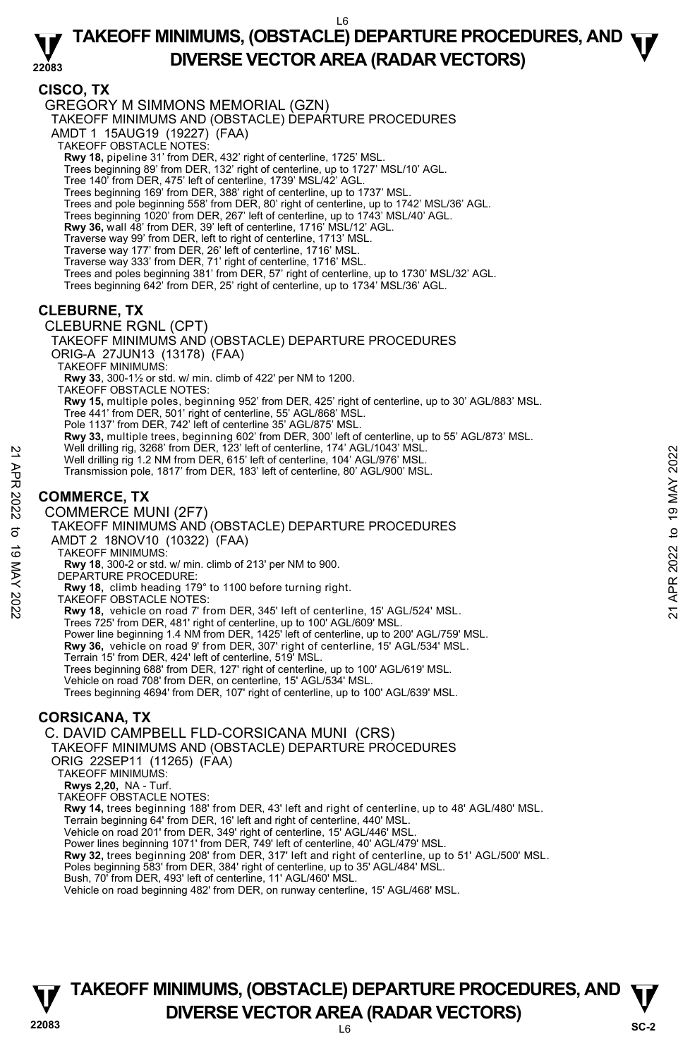# **TAKEOFF MINIMUMS, (OBSTACLE) DEPARTURE PROCEDURES, AND**  $\Psi$ **DIVERSE VECTOR AREA (RADAR VECTORS)**

**22083** 

# **CISCO, TX**

GREGORY M SIMMONS MEMORIAL (GZN)

TAKEOFF MINIMUMS AND (OBSTACLE) DEPARTURE PROCEDURES

AMDT 1 15AUG19 (19227) (FAA)

- TAKEOFF OBSTACLE NOTES:
- **Rwy 18,** pipeline 31' from DER, 432' right of centerline, 1725' MSL.

Trees beginning 89' from DER, 132' right of centerline, up to 1727' MSL/10' AGL.

- Tree 140' from DER, 475' left of centerline, 1739' MSL/42' AGL.
- Trees beginning 169' from DER, 388' right of centerline, up to 1737' MSL.
- Trees and pole beginning 558' from DER, 80' right of centerline, up to 1742' MSL/36' AGL.
- Trees beginning 1020' from DER, 267' left of centerline, up to 1743' MSL/40' AGL.
- **Rwy 36,** wall 48' from DER, 39' left of centerline, 1716' MSL/12' AGL.

Traverse way 99' from DER, left to right of centerline, 1713' MSL.

Traverse way 177' from DER, 26' left of centerline, 1716' MSL.

Traverse way 333' from DER, 71' right of centerline, 1716' MSL.

- Trees and poles beginning 381' from DER, 57' right of centerline, up to 1730' MSL/32' AGL.
- Trees beginning 642' from DER, 25' right of centerline, up to 1734' MSL/36' AGL.

# **CLEBURNE, TX**

CLEBURNE RGNL (CPT)

TAKEOFF MINIMUMS AND (OBSTACLE) DEPARTURE PROCEDURES

ORIG-A 27JUN13 (13178) (FAA)

TAKEOFF MINIMUMS:

**Rwy 33**, 300-1½ or std. w/ min. climb of 422' per NM to 1200.

TAKEOFF OBSTACLE NOTES:

**Rwy 15,** multiple poles, beginning 952' from DER, 425' right of centerline, up to 30' AGL/883' MSL.<br>Tree 441' from DER, 501' right of centerline, 55' AGL/868' MSL.

- Pole 1137' from DER, 742' left of centerline 35' AGL/875' MSL.
- **Rwy 33,** multiple trees, beginning 602' from DER, 300' left of centerline, up to 55' AGL/873' MSL.<br>Well drilling rig, 3268' from DER, 123' left of centerline, 174' AGL/1043' MSL.
- 
- Well drilling rig 1.2 NM from DER, 615' left of centerline, 104' AGL/976' MSL.
- Transmission pole, 1817' from DER, 183' left of centerline, 80' AGL/900' MSL.

# **COMMERCE, TX**

#### COMMERCE MUNI (2F7)

TAKEOFF MINIMUMS AND (OBSTACLE) DEPARTURE PROCEDURES AMDT 2 18NOV10 (10322) (FAA) Well drilling rig. 3268' from DER, 815' let of centerline, 104' AGL/976' MSL.<br>
Well drilling rig. 1.2 NM from DER, 165' left of centerline, 104' AGL/976' MSL.<br>
Transmission pole, 1817' from DER, 183' left of centerline, 8

TAKEOFF MINIMUMS:

**Rwy 18**, 300-2 or std. w/ min. climb of 213' per NM to 900.

- DEPARTURE PROCEDURE:
- **Rwy 18,** climb heading 179° to 1100 before turning right.
- TAKEOFF OBSTACLE NOTES:

**Rwy 18,** vehicle on road 7' from DER, 345' left of centerline, 15' AGL/524' MSL.

Trees 725' from DER, 481' right of centerline, up to 100' AGL/609' MSL.

Power line beginning 1.4 NM from DER, 1425' left of centerline, up to 200' AGL/759' MSL. **Rwy 36,** vehicle on road 9' from DER, 307' right of centerline, 15' AGL/534' MSL.

Terrain 15' from DER, 424' left of centerline, 519' MSL.

Trees beginning 688' from DER, 127' right of centerline, up to 100' AGL/619' MSL.

Vehicle on road 708' from DER, on centerline, 15' AGL/534' MSL.

Trees beginning 4694' from DER, 107' right of centerline, up to 100' AGL/639' MSL.

# **CORSICANA, TX**

C. DAVID CAMPBELL FLD-CORSICANA MUNI (CRS)

TAKEOFF MINIMUMS AND (OBSTACLE) DEPARTURÈ PRÓCEDURES

ORIG 22SEP11 (11265) (FAA)

TAKEOFF MINIMUMS:

**Rwys 2,20,** NA - Turf.

TAKEOFF OBSTACLE NOTES:

**Rwy 14,** trees beginning 188' from DER, 43' left and right of centerline, up to 48' AGL/480' MSL.

Terrain beginning 64' from DER, 16' left and right of centerline, 440' MSL.

Vehicle on road 201' from DER, 349' right of centerline, 15' AGL/446' MSL. Power lines beginning 1071' from DER, 749' left of centerline, 40' AGL/479' MSL.

**Rwy 32,** trees beginning 208' from DER, 317' left and right of centerline, up to 51' AGL/500' MSL.

Poles beginning 583' from DER, 384' right of centerline, up to 35' AGL/484' MSL. Bush, 70' from DER, 493' left of centerline, 11' AGL/460' MSL.

Vehicle on road beginning 482' from DER, on runway centerline, 15' AGL/468' MSL.

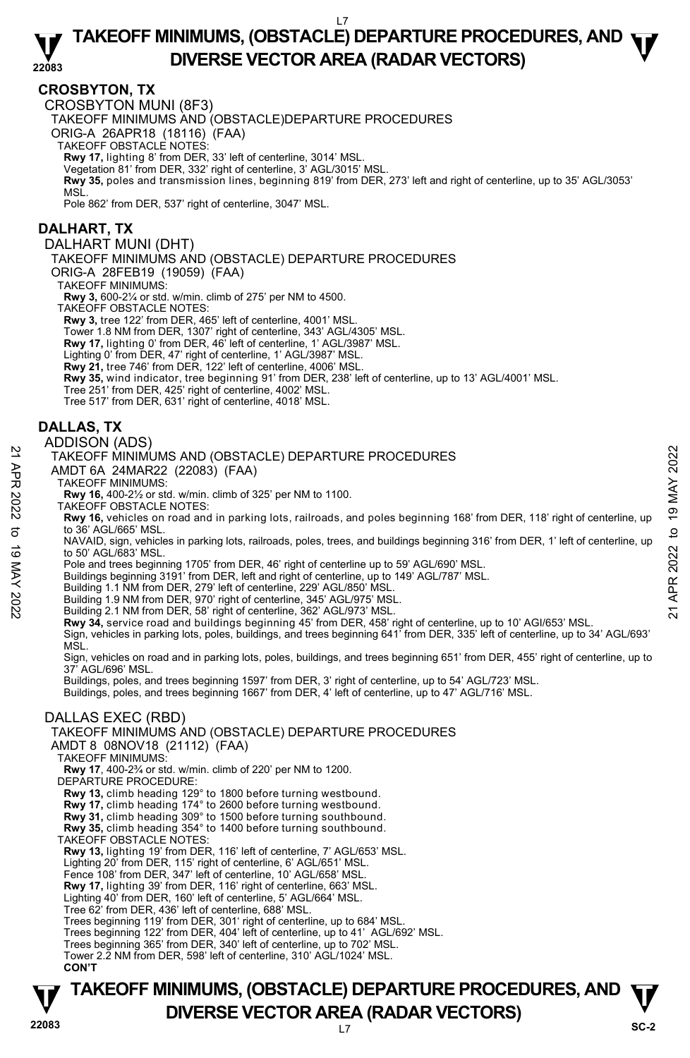#### **22083 TAKEOFF MINIMUMS, (OBSTACLE) DEPARTURE PROCEDURES, AND**  $\Psi$ **DIVERSE VECTOR AREA (RADAR VECTORS)**

### **CROSBYTON, TX**

CROSBYTON MUNI (8F3)

TAKEOFF MINIMUMS AND (OBSTACLE)DEPARTURE PROCEDURES

ORIG-A 26APR18 (18116) (FAA)

TAKEOFF OBSTACLE NOTES:

**Rwy 17,** lighting 8' from DER, 33' left of centerline, 3014' MSL.

Vegetation 81' from DER, 332' right of centerline, 3' AGL/3015' MSL. **Rwy 35,** poles and transmission lines, beginning 819' from DER, 273' left and right of centerline, up to 35' AGL/3053' MSL.

Pole 862' from DER, 537' right of centerline, 3047' MSL.

#### **DALHART, TX**

DALHART MUNI (DHT)

TAKEOFF MINIMUMS AND (OBSTACLE) DEPARTURE PROCEDURES

ORIG-A 28FEB19 (19059) (FAA)

TAKEOFF MINIMUMS:

**Rwy 3,** 600-2¼ or std. w/min. climb of 275' per NM to 4500.

TAKEOFF OBSTACLE NOTES:

**Rwy 3,** tree 122' from DER, 465' left of centerline, 4001' MSL.

Tower 1.8 NM from DER, 1307' right of centerline, 343' AGL/4305' MSL. **Rwy 17,** lighting 0' from DER, 46' left of centerline, 1' AGL/3987' MSL.

- Lighting 0' from DER, 47' right of centerline, 1' AGL/3987' MSL.
- **Rwy 21,** tree 746' from DER, 122' left of centerline, 4006' MSL.
- **Rwy 35,** wind indicator, tree beginning 91' from DER, 238' left of centerline, up to 13' AGL/4001' MSL.
- Tree 251' from DER, 425' right of centerline, 4002' MSL.
- Tree 517' from DER, 631' right of centerline, 4018' MSL.

# **DALLAS, TX**

#### ADDISON (ADS)

#### TAKEOFF MINIMUMS AND (OBSTACLE) DEPARTURE PROCEDURES

- AMDT 6A 24MAR22 (22083) (FAA)
- TAKEOFF MINIMUMS:

**Rwy 16,** 400-2½ or std. w/min. climb of 325' per NM to 1100.

TAKEOFF OBSTACLE NOTES:

**Rwy 16,** vehicles on road and in parking lots, railroads, and poles beginning 168' from DER, 118' right of centerline, up to 36' AGL/665' MSL. TAKEOFF MINIMUMS AND (OBSTACLE) DEPARTURE PROCEDURES<br>
21 TAKEOFF MINIMUMS AND (OBSTACLE) DEPARTURE PROCEDURES<br>
22 TAKEOFF MINIMUMS:<br>
22 TAKEOFF OBSTACLE NOTES:<br>
22 TAKEOFF OBSTACLE NOTES:<br>
23 TAKEOFF OBSTACLE NOTES:<br>
23 T

NAVAID, sign, vehicles in parking lots, railroads, poles, trees, and buildings beginning 316' from DER, 1' left of centerline, up to 50' AGL/683' MSL.

Pole and trees beginning 1705' from DER, 46' right of centerline up to 59' AGL/690' MSL.

Buildings beginning 3191' from DER, left and right of centerline, up to 149' AGL/787' MSL.

- Building 1.1 NM from DER, 279' left of centerline, 229' AGL/850' MSL.
- Building 1.9 NM from DER, 970' right of centerline, 345' AGL/975' MSL. Building 2.1 NM from DER, 58' right of centerline, 362' AGL/973' MSL.
- 

**Rwy 34,** service road and buildings beginning 45' from DER, 458' right of centerline, up to 10' AGI/653' MSL. Sign, vehicles in parking lots, poles, buildings, and trees beginning 641' from DER, 335' left of centerline, up to 34' AGL/693' MSL.

Sign, vehicles on road and in parking lots, poles, buildings, and trees beginning 651' from DER, 455' right of centerline, up to 37' AGL/696' MSL.

Buildings, poles, and trees beginning 1597' from DER, 3' right of centerline, up to 54' AGL/723' MSL.

Buildings, poles, and trees beginning 1667' from DER, 4' left of centerline, up to 47' AGL/716' MSL.

#### DALLAS EXEC (RBD)

#### TAKEOFF MINIMUMS AND (OBSTACLE) DEPARTURE PROCEDURES

AMDT 8 08NOV18 (21112) (FAA)

TAKEOFF MINIMUMS:

**Rwy 17**, 400-2¾ or std. w/min. climb of 220' per NM to 1200.

DEPARTURE PROCEDURE:

**Rwy 13,** climb heading 129° to 1800 before turning westbound. **Rwy 17,** climb heading 174° to 2600 before turning westbound.

**Rwy 31,** climb heading 309° to 1500 before turning southbound. **Rwy 35,** climb heading 354° to 1400 before turning southbound.

TAKEOFF OBSTACLE NOTES:

**Rwy 13,** lighting 19' from DER, 116' left of centerline, 7' AGL/653' MSL.

Lighting 20' from DER, 115' right of centerline, 6' AGL/651' MSL.

Fence 108' from DER, 347' left of centerline, 10' AGL/658' MSL

**Rwy 17,** lighting 39' from DER, 116' right of centerline, 663' MSL.

Lighting 40' from DER, 160' left of centerline, 5' AGL/664' MSL.

Tree 62' from DER, 436' left of centerline, 688' MSL.

Trees beginning 119' from DER, 301' right of centerline, up to 684' MSL.

Trees beginning 122' from DER, 404' left of centerline, up to 41' AGL/692' MSL.

Trees beginning 365' from DER, 340' left of centerline, up to 702' MSL.

Tower 2.2 NM from DER, 598' left of centerline, 310' AGL/1024' MSL. **CON'T**

# **TAKEOFF MINIMUMS, (OBSTACLE) DEPARTURE PROCEDURES, AND**  $\Psi$ **DIVERSE VECTOR AREA (RADAR VECTORS)** Sc-2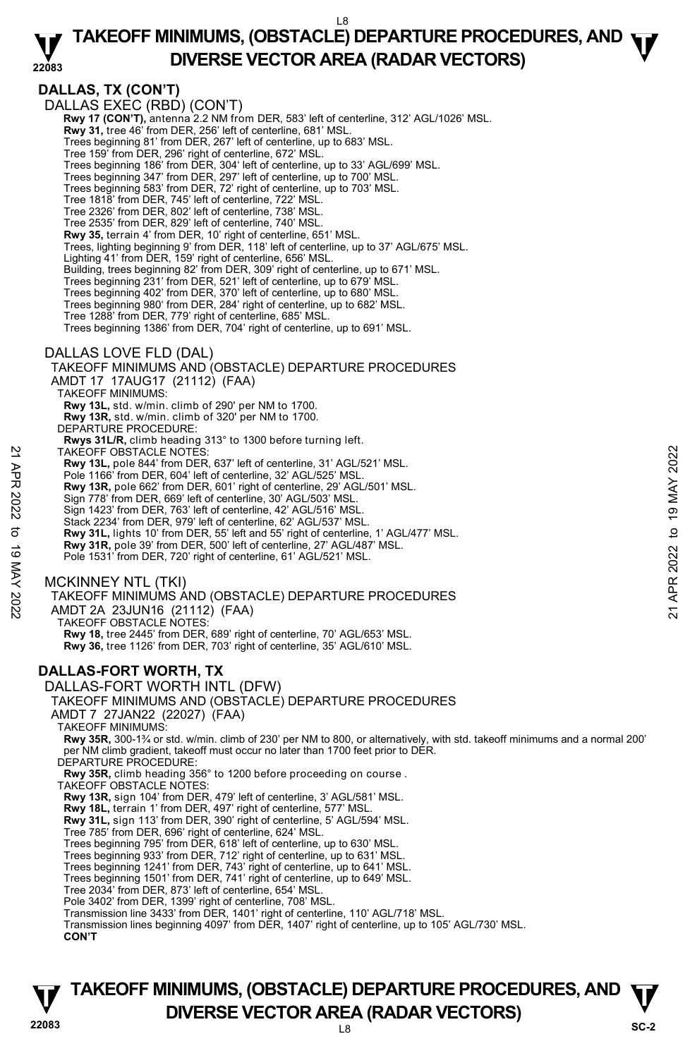#### **22083 TAKEOFF MINIMUMS, (OBSTACLE) DEPARTURE PROCEDURES, AND**  $\Psi$ **DIVERSE VECTOR AREA (RADAR VECTORS)**

**DALLAS, TX (CON'T)**  DALLAS EXEC (RBD) (CON'T)  **Rwy 17 (CON'T),** antenna 2.2 NM from DER, 583' left of centerline, 312' AGL/1026' MSL.  **Rwy 31,** tree 46' from DER, 256' left of centerline, 681' MSL. Trees beginning 81' from DER, 267' left of centerline, up to 683' MSL. Tree 159' from DER, 296' right of centerline, 672' MSL. Trees beginning 186' from DER, 304' left of centerline, up to 33' AGL/699' MSL. Trees beginning 347' from DER, 297' left of centerline, up to 700' MSL. Trees beginning 583' from DER, 72' right of centerline, up to 703' MSL. Tree 1818' from DER, 745' left of centerline, 722' MSL. Tree 2326' from DER, 802' left of centerline, 738' MSL. Tree 2535' from DER, 829' left of centerline, 740' MSL. **Rwy 35,** terrain 4' from DER, 10' right of centerline, 651' MSL. Trees, lighting beginning 9' from DER, 118' left of centerline, up to 37' AGL/675' MSL. Lighting 41' from DER, 159' right of centerline, 656' MSL. Building, trees beginning 82' from DER, 309' right of centerline, up to 671' MSL. Trees beginning 231' from DER, 521' left of centerline, up to 679' MSL. Trees beginning 402' from DER, 370' left of centerline, up to 680' MSL. Trees beginning 980' from DER, 284' right of centerline, up to 682' MSL. Tree 1288' from DER, 779' right of centerline, 685' MSL. Trees beginning 1386' from DER, 704' right of centerline, up to 691' MSL. DALLAS LOVE FLD (DAL) TAKEOFF MINIMUMS AND (OBSTACLE) DEPARTURE PROCEDURES AMDT 17 17AUG17 (21112) (FAA) TAKEOFF MINIMUMS: **Rwy 13L,** std. w/min. climb of 290' per NM to 1700. **Rwy 13R,** std. w/min. climb of 320' per NM to 1700. DEPARTURE PROCEDURE: **Rwys 31L/R,** climb heading 313° to 1300 before turning left. TAKEOFF OBSTACLE NOTES: **Rwy 13L,** pole 844' from DER, 637' left of centerline, 31' AGL/521' MSL. Pole 1166' from DER, 604' left of centerline, 32' AGL/525' MSI **Rwy 13R,** pole 662' from DER, 601' right of centerline, 29' AGL/501' MSL. Sign 778' from DER, 669' left of centerline, 30' AGL/503' MSL. Sign 1423' from DER, 763' left of centerline, 42' AGL/516' MSL. Stack 2234' from DER, 979' left of centerline, 62' AGL/537' MSL. **Rwy 31L,** lights 10' from DER, 55' left and 55' right of centerline, 1' AGL/477' MSL. **Rwy 31R,** pole 39' from DER, 500' left of centerline, 27' AGL/487' MSL. Pole 1531' from DER, 720' right of centerline, 61' AGL/521' MSL. MCKINNEY NTL (TKI) TAKEOFF MINIMUMS AND (OBSTACLE) DEPARTURE PROCEDURES AMDT 2A 23JUN16 (21112) (FAA) TAKEOFF OBSTACLE NOTES: **Rwy 18,** tree 2445' from DER, 689' right of centerline, 70' AGL/653' MSL. **Rwy 36,** tree 1126' from DER, 703' right of centerline, 35' AGL/610' MSL. **DALLAS-FORT WORTH, TX**  DALLAS-FORT WORTH INTL (DFW) TAKEOFF MINIMUMS AND (OBSTACLE) DEPARTURE PROCEDURES AMDT 7 27JAN22 (22027) (FAA) TAKEOFF MINIMUMS: **Rwy 35R,** 300-1¾ or std. w/min. climb of 230' per NM to 800, or alternatively, with std. takeoff minimums and a normal 200' per NM climb gradient, takeoff must occur no later than 1700 feet prior to DER. DEPARTURE PROCEDURE: **Rwy 35R,** climb heading 356° to 1200 before proceeding on course . TAKEOFF OBSTACLE NOTES: **Rwy 13R,** sign 104' from DER, 479' left of centerline, 3' AGL/581' MSL. **Rwy 18L,** terrain 1' from DER, 497' right of centerline, 577' MSL. **Rwy 31L,** sign 113' from DER, 390' right of centerline, 5' AGL/594' MSL. Tree 785' from DER, 696' right of centerline, 624' MSL. Trees beginning 795' from DER, 618' left of centerline, up to 630' MSL. Trees beginning 933' from DER, 712' right of centerline, up to 631' MSL. Trees beginning 1241' from DER, 743' right of centerline, up to 641' MSL. Trees beginning 1501' from DER, 741' right of centerline, up to 649' MSL. Tree 2034' from DER, 873' left of centerline, 654' MSL. Pole 3402' from DER, 1399' right of centerline, 708' MSL. Transmission line 3433' from DER, 1401' right of centerline, 110' AGL/718' MSL. Transmission lines beginning 4097' from DER, 1407' right of centerline, up to 105' AGL/730' MSL. **CON'T** TAKEOFF OBSTACLE NOTES:<br>
Rwy 13R, pole 844' from DER, 637' left of centerline, 31' AGL/521' MSL.<br>
Pole 1166' from DER, 604' left of centerline, 32' AGL/525' MSL.<br>
Rwy 13R, pole 662' from DER, 601' right of centerline, 29'

# **22083** L8 **TAKEOFF MINIMUMS, (OBSTACLE) DEPARTURE PROCEDURES, AND**  $\Psi$ **DIVERSE VECTOR AREA (RADAR VECTORS)** SC-2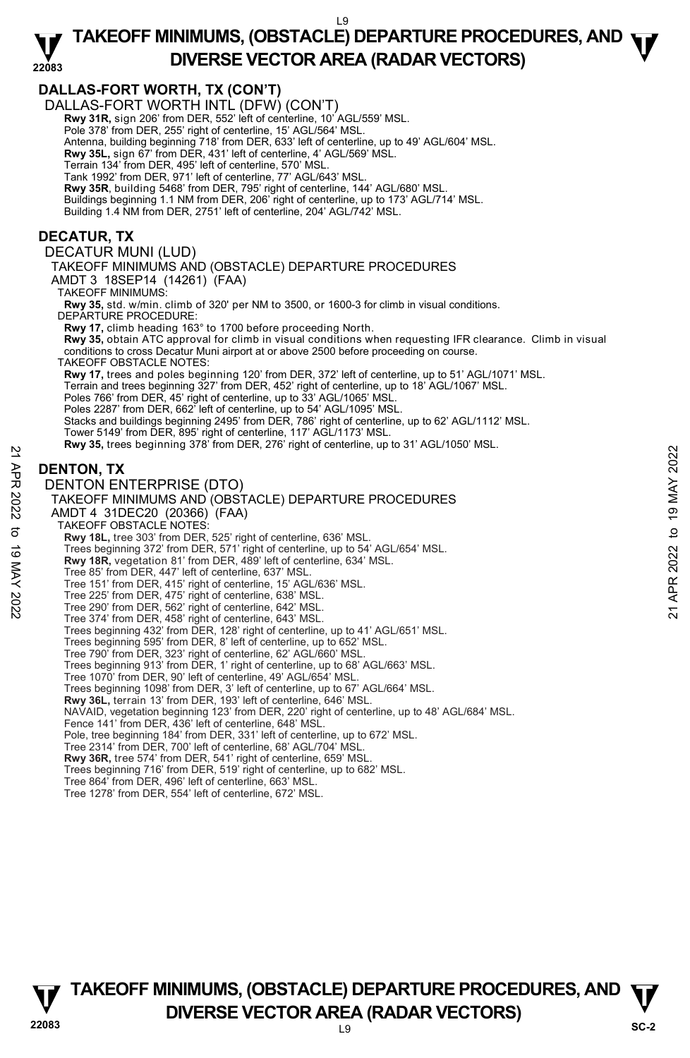# **TAKEOFF MINIMUMS, (OBSTACLE) DEPARTURE PROCEDURES, AND**  $\Psi$ **DIVERSE VECTOR AREA (RADAR VECTORS)**



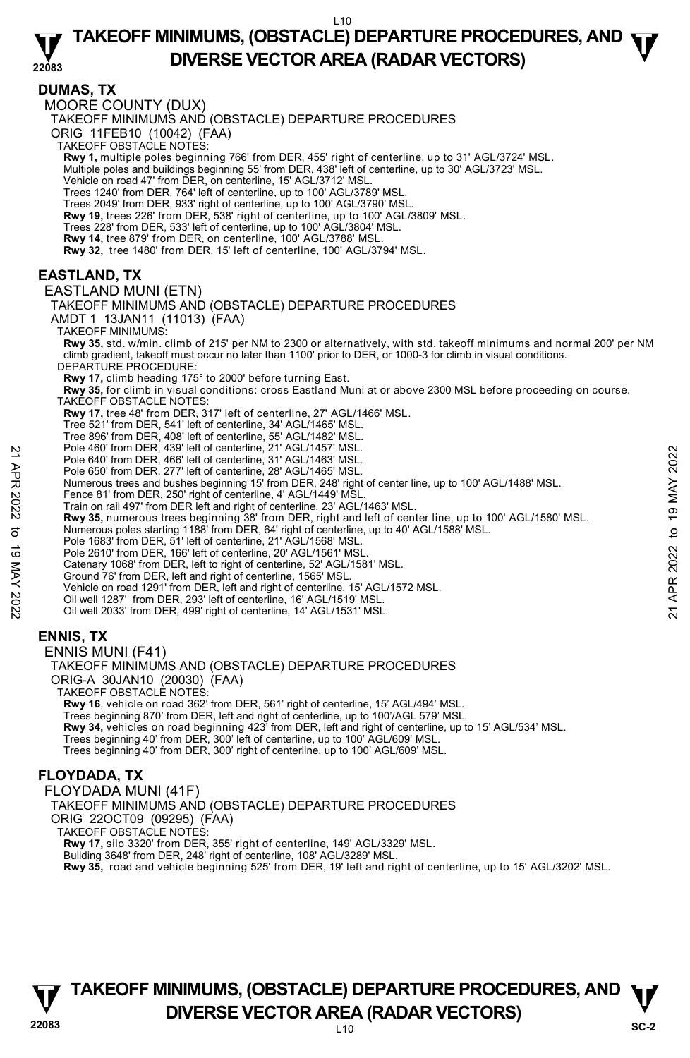#### **22083 TAKEOFF MINIMUMS, (OBSTACLE) DEPARTURE PROCEDURES, AND**  $\Psi$ **DIVERSE VECTOR AREA (RADAR VECTORS)**

### **DUMAS, TX**

MOORE COUNTY (DUX)

TAKEOFF MINIMUMS AND (OBSTACLE) DEPARTURE PROCEDURES

ORIG 11FEB10 (10042) (FAA)

TAKEOFF OBSTACLE NOTES:

**Rwy 1,** multiple poles beginning 766' from DER, 455' right of centerline, up to 31' AGL/3724' MSL.<br>Multiple poles and buildings beginning 55' from DER, 438' left of centerline, up to 30' AGL/3723' MSL.

Vehicle on road 47' from DER, on centerline, 15' AGL/3712' MSL.

Trees 1240' from DER, 764' left of centerline, up to 100' AGL/3789' MSL.

Trees 2049' from DER, 933' right of centerline, up to 100' AGL/3790' MSL. **Rwy 19,** trees 226' from DER, 538' right of centerline, up to 100' AGL/3809' MSL.

Trees 228' from DER, 533' left of centerline, up to 100' AGL/3804' MSL.

**Rwy 14,** tree 879' from DER, on centerline, 100' AGL/3788' MSL.

**Rwy 32,** tree 1480' from DER, 15' left of centerline, 100' AGL/3794' MSL.

# **EASTLAND, TX**

#### EASTLAND MUNI (ETN)

TAKEOFF MINIMUMS AND (OBSTACLE) DEPARTURE PROCEDURES

AMDT 1 13JAN11 (11013) (FAA)

TAKEOFF MINIMUMS:

**Rwy 35,** std. w/min. climb of 215' per NM to 2300 or alternatively, with std. takeoff minimums and normal 200' per NM climb gradient, takeoff must occur no later than 1100' prior to DER, or 1000-3 for climb in visual conditions. DEPARTURE PROCEDURE:

**Rwy 17,** climb heading 175° to 2000' before turning East.

**Rwy 35,** for climb in visual conditions: cross Eastland Muni at or above 2300 MSL before proceeding on course.

TAKEOFF OBSTACLE NOTES:

**Rwy 17,** tree 48' from DER, 317' left of centerline, 27' AGL/1466' MSL.

Tree 521' from DER, 541' left of centerline, 34' AGL/1465' MSL.

Tree 896' from DER, 408' left of centerline, 55' AGL/1482' MSL.

Pole 460' from DER, 439' left of centerline, 21' AGL/1457' MSL.

Pole 640' from DER, 466' left of centerline, 31' AGL/1463' MSL.

Pole 650' from DER, 277' left of centerline, 28' AGL/1465' MSL. Numerous trees and bushes beginning 15' from DER, 248' right of center line, up to 100' AGL/1488' MSL.

Fence 81' from DER, 250' right of centerline, 4' AGL/1449' MSL.

Train on rail 497' from DER left and right of centerline, 23' AGL/1463' MSL.

**Rwy 35,** numerous trees beginning 38' from DER, right and left of center line, up to 100' AGL/1580' MSL.<br>Numerous poles starting 1188' from DER, 64' right of centerline, up to 40' AGL/1588' MSL.<br>Pole 1683' from DER, 51' l Pole 640' from DER, 46' left of centerline, 21' AGL/1463' MSL.<br>
Pole 640' from DER, 466' left of centerline, 28' AGL/1463' MSL.<br>
Pole 650' from DER, 277' left of centerline, 28' AGL/1465' MSL.<br>
Numerous trees and bushes b

Pole 2610' from DER, 166' left of centerline, 20' AGL/1561' MSI

Catenary 1068' from DER, left to right of centerline, 52' AGL/1581' MSL.

Ground 76' from DER, left and right of centerline, 1565' MSL.

Vehicle on road 1291' from DER, left and right of centerline, 15' AGL/1572 MSL.

Oil well 1287' from DER, 293' left of centerline, 16' AGL/1519' MSL. Oil well 2033' from DER, 499' right of centerline, 14' AGL/1531' MSL.

# **ENNIS, TX**

ENNIS MUNI (F41)

TAKEOFF MINIMUMS AND (OBSTACLE) DEPARTURE PROCEDURES ORIG-A 30JAN10 (20030) (FAA) TAKEOFF OBSTACLE NOTES: **Rwy 16**, vehicle on road 362' from DER, 561' right of centerline, 15' AGL/494' MSL.

Trees beginning 870' from DER, left and right of centerline, up to 100'/AGL 579' MSL.<br>**Rwy 34,** vehicles on road beginning 423' from DER, left and right of centerline, up to 15' AGL/534' MSL. Trees beginning 40' from DER, 300' left of centerline, up to 100' AGL/609' MSL.

Trees beginning 40' from DER, 300' right of centerline, up to 100' AGL/609' MSL.

# **FLOYDADA, TX**

FLOYDADA MUNI (41F) TAKEOFF MINIMUMS AND (OBSTACLE) DEPARTURE PROCEDURES ORIG 22OCT09 (09295) (FAA) TAKEOFF OBSTACLE NOTES: **Rwy 17,** silo 3320' from DER, 355' right of centerline, 149' AGL/3329' MSL. Building 3648' from DER, 248' right of centerline, 108' AGL/3289' MSL.

**Rwy 35,** road and vehicle beginning 525' from DER, 19' left and right of centerline, up to 15' AGL/3202' MSL.



# **22083** L10 **TAKEOFF MINIMUMS, (OBSTACLE) DEPARTURE PROCEDURES, AND**  $\Psi$ **DIVERSE VECTOR AREA (RADAR VECTORS)** SC-2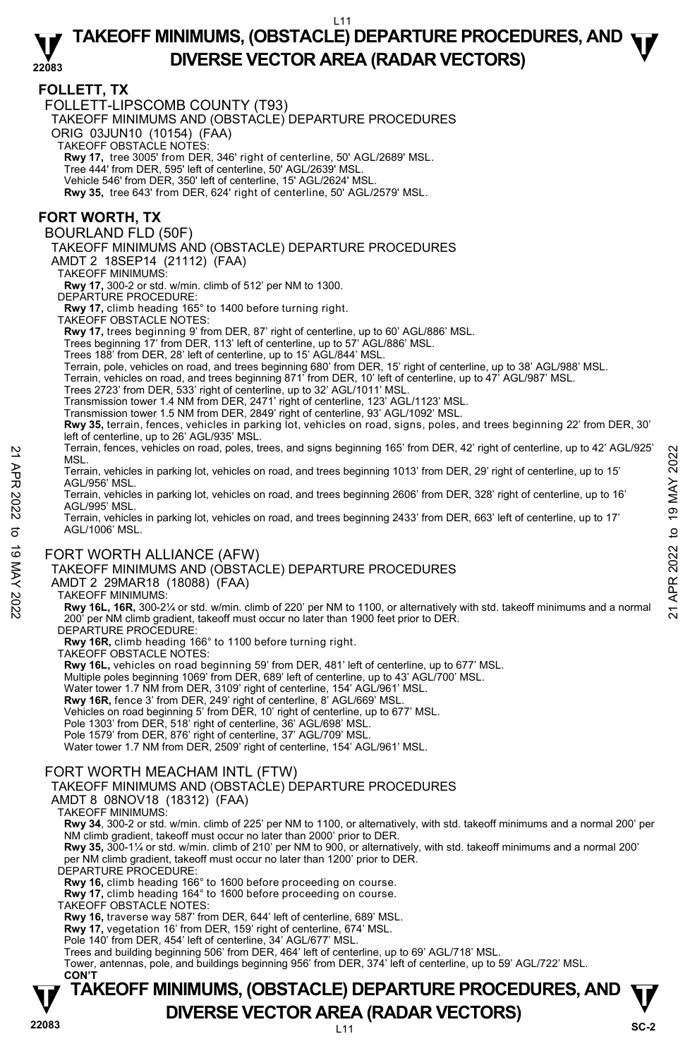#### **22083 TAKEOFF MINIMUMS, (OBSTACLE) DEPARTURE PROCEDURES, AND**  $\Psi$ **DIVERSE VECTOR AREA (RADAR VECTORS)**

# **FOLLETT, TX**

FOLLETT-LIPSCOMB COUNTY (T93)

TAKEOFF MINIMUMS AND (OBSTACLE) DEPARTURE PROCEDURES

ORIG 03JUN10 (10154) (FAA)

TAKEOFF OBSTACLE NOTES:

**Rwy 17,** tree 3005' from DER, 346' right of centerline, 50' AGL/2689' MSL.

Tree 444' from DER, 595' left of centerline, 50' AGL/2639' MSL.

Vehicle 546' from DER, 350' left of centerline, 15' AGL/2624' MSL.

**Rwy 35,** tree 643' from DER, 624' right of centerline, 50' AGL/2579' MSL.

# **FORT WORTH, TX**

BOURLAND FLD (50F)

TAKEOFF MINIMUMS AND (OBSTACLE) DEPARTURE PROCEDURES

AMDT 2 18SEP14 (21112) (FAA)

TAKEOFF MINIMUMS:

**Rwy 17,** 300-2 or std. w/min. climb of 512' per NM to 1300.

DEPARTURE PROCEDURE:

**Rwy 17,** climb heading 165° to 1400 before turning right.

TAKEOFF OBSTACLE NOTES:

**Rwy 17,** trees beginning 9' from DER, 87' right of centerline, up to 60' AGL/886' MSL.

Trees beginning 17' from DER, 113' left of centerline, up to 57' AGL/886' MSL.

Trees 188' from DER, 28' left of centerline, up to 15' AGL/844' MSL. Terrain, pole, vehicles on road, and trees beginning 680' from DER, 15' right of centerline, up to 38' AGL/988' MSL.

Terrain, vehicles on road, and trees beginning 871' from DER, 10' left of centerline, up to 47' AGL/987' MSL.

Trees 2723' from DER, 533' right of centerline, up to 32' AGL/1011' MSL.

Transmission tower 1.4 NM from DER, 2471' right of centerline, 123' AGL/1123' MSL. Transmission tower 1.5 NM from DER, 2849' right of centerline, 93' AGL/1092' MSL.

**Rwy 35,** terrain, fences, vehicles in parking lot, vehicles on road, signs, poles, and trees beginning 22' from DER, 30' left of centerline, up to 26' AGL/935' MSL.

Terrain, fences, vehicles on road, poles, trees, and signs beginning 165' from DER, 42' right of centerline, up to 42' AGL/925' MSL.

Terrain, vehicles in parking lot, vehicles on road, and trees beginning 1013' from DER, 29' right of centerline, up to 15' AGL/956' MSL.

Terrain, vehicles in parking lot, vehicles on road, and trees beginning 2606' from DER, 328' right of centerline, up to 16' AGL/995' MSL.

Terrain, vehicles in parking lot, vehicles on road, and trees beginning 2433' from DER, 663' left of centerline, up to 17' AGL/1006' MSL. NET ANN THE SURVEY IS TO THE MISSIC.<br>
INSEL. Therain, vehicles in parking lot, vehicles on road, and trees beginning 105' from DER, 29' right of centerline, up to 15'<br>
AGL/956' MSL.<br>
Terrain, vehicles in parking lot, vehi

# FORT WORTH ALLIANCE (AFW)

TAKEOFF MINIMUMS AND (OBSTACLE) DEPARTURE PROCEDURES

AMDT 2 29MAR18 (18088) (FAA)

#### TAKEOFF MINIMUMS:

**Rwy 16L, 16R,** 300-2¼ or std. w/min. climb of 220' per NM to 1100, or alternatively with std. takeoff minimums and a normal 200' per NM climb gradient, takeoff must occur no later than 1900 feet prior to DER.

DEPARTURE PROCEDURE

**Rwy 16R,** climb heading 166° to 1100 before turning right.

TAKEOFF OBSTACLE NOTES:

**Rwy 16L,** vehicles on road beginning 59' from DER, 481' left of centerline, up to 677' MSL.

Multiple poles beginning 1069' from DER, 689' left of centerline, up to 43' AGL/700' MSL.

Water tower 1.7 NM from DER, 3109' right of centerline, 154' AGL/961' MSL.

**Rwy 16R,** fence 3' from DER, 249' right of centerline, 8' AGL/669' MSL.

Vehicles on road beginning 5' from DER, 10' right of centerline, up to 677' MSL. Pole 1303' from DER, 518' right of centerline, 36' AGL/698' MSL.

Pole 1579' from DER, 876' right of centerline, 37' AGL/709' MSL.

Water tower 1.7 NM from DER, 2509' right of centerline, 154' AGL/961' MSL.

#### FORT WORTH MEACHAM INTL (FTW)

TAKEOFF MINIMUMS AND (OBSTACLE) DEPARTURE PROCEDURES

AMDT 8 08NOV18 (18312) (FAA)

TAKEOFF MINIMUMS:

**Rwy 34**, 300-2 or std. w/min. climb of 225' per NM to 1100, or alternatively, with std. takeoff minimums and a normal 200' per NM climb gradient, takeoff must occur no later than 2000' prior to DER.

**Rwy 35,** 300-1¼ or std. w/min. climb of 210' per NM to 900, or alternatively, with std. takeoff minimums and a normal 200' per NM climb gradient, takeoff must occur no later than 1200' prior to DER.

DEPARTURE PROCEDURE

**Rwy 16,** climb heading 166° to 1600 before proceeding on course.

**Rwy 17,** climb heading 164° to 1600 before proceeding on course.

TAKEOFF OBSTACLE NOTES:

**Rwy 16,** traverse way 587' from DER, 644' left of centerline, 689' MSL. **Rwy 17,** vegetation 16' from DER, 159' right of centerline, 674' MSL.

Pole 140' from DER, 454' left of centerline, 34' AGL/677' MSL.

Trees and building beginning 506' from DER, 464' left of centerline, up to 69' AGL/718' MSL. Tower, antennas, pole, and buildings beginning 956' from DER, 374' left of centerline, up to 59' AGL/722' MSL.

#### **22083** L11 **TAKEOFF MINIMUMS, (OBSTACLE) DEPARTURE PROCEDURES, AND**  $\Psi$ **DIVERSE VECTOR AREA (RADAR VECTORS)** SC-2  **CON'T**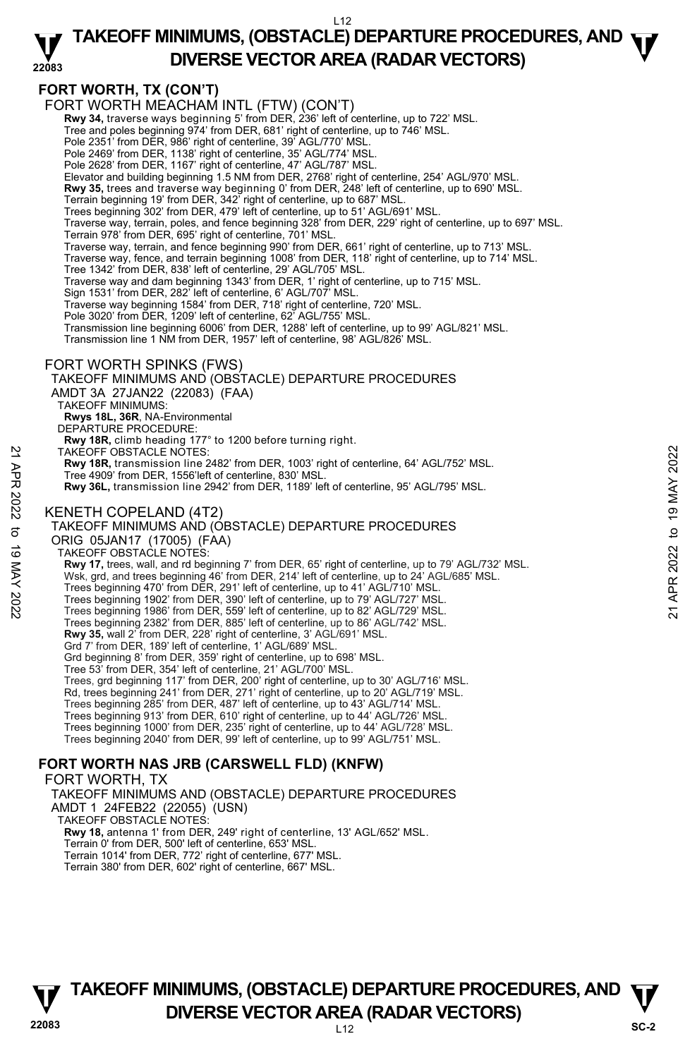#### **22083 TAKEOFF MINIMUMS, (OBSTACLE) DEPARTURE PROCEDURES, AND**  $\Psi$ **DIVERSE VECTOR AREA (RADAR VECTORS)**

# **FORT WORTH, TX (CON'T)**

L12 FORT WORTH MEACHAM INTL (FTW) (CON'T) **Rwy 34,** traverse ways beginning 5' from DER, 236' left of centerline, up to 722' MSL.<br>Tree and poles beginning 974' from DER, 681' right of centerline, up to 746' MSL. Pole 2351' from DER, 986' right of centerline, 39' AGL/770' MSL. Pole 2469' from DER, 1138' right of centerline, 35' AGL/774' MSL. Pole 2628' from DER, 1167' right of centerline, 47' AGL/787' MSL. Elevator and building beginning 1.5 NM from DER, 2768' right of centerline, 254' AGL/970' MSL. **Rwy 35,** trees and traverse way beginning 0' from DER, 248' left of centerline, up to 690' MSL. Terrain beginning 19' from DER, 342' right of centerline, up to 687' MSL. Trees beginning 302' from DER, 479' left of centerline, up to 51' AGL/691' MSL. Traverse way, terrain, poles, and fence beginning 328' from DER, 229' right of centerline, up to 697' MSL. Terrain 978' from DER, 695' right of centerline, 701' MSL. Traverse way, terrain, and fence beginning 990' from DER, 661' right of centerline, up to 713' MSL. Traverse way, fence, and terrain beginning 1008' from DER, 118' right of centerline, up to 714' MSL. Tree 1342' from DER, 838' left of centerline, 29' AGL/705' MSL. Traverse way and dam beginning 1343' from DER, 1' right of centerline, up to 715' MSL. Sign 1531' from DER, 282' left of centerline, 6' AGL/707' MSL. Traverse way beginning 1584' from DER, 718' right of centerline, 720' MSL. Pole 3020' from DER, 1209' left of centerline, 62' AGL/755' MSL. Transmission line beginning 6006' from DER, 1288' left of centerline, up to 99' AGL/821' MSL. Transmission line 1 NM from DER, 1957' left of centerline, 98' AGL/826' MSL. FORT WORTH SPINKS (FWS) TAKEOFF MINIMUMS AND (OBSTACLE) DEPARTURE PROCEDURES AMDT 3A 27JAN22 (22083) (FAA) TAKEOFF MINIMUMS: **Rwys 18L, 36R**, NA-Environmental DEPARTURE PROCEDURE: **Rwy 18R,** climb heading 177° to 1200 before turning right. TAKEOFF OBSTACLE NOTES: **Rwy 18R,** transmission line 2482' from DER, 1003' right of centerline, 64' AGL/752' MSL. Tree 4909' from DER, 1556'left of centerline, 830' MSL. **Rwy 36L,** transmission line 2942' from DER, 1189' left of centerline, 95' AGL/795' MSL. KENETH COPELAND (4T2) TAKEOFF MINIMUMS AND (OBSTACLE) DEPARTURE PROCEDURES ORIG 05JAN17 (17005) (FAA) TAKEOFF OBSTACLE NOTES: **Rwy 17,** trees, wall, and rd beginning 7' from DER, 65' right of centerline, up to 79' AGL/732' MSL. Wsk, grd, and trees beginning 46' from DER, 214' left of centerline, up to 24' AGL/685' MSL. Trees beginning 470' from DER, 291' left of centerline, up to 41' AGL/710' MSL. Trees beginning 1902' from DER, 390' left of centerline, up to 79' AGL/727' MSL. Trees beginning 1986' from DER, 559' left of centerline, up to 82' AGL/729' MSL. Trees beginning 2382' from DER, 885' left of centerline, up to 86' AGL/742' MSL. **Rwy 35,** wall 2' from DER, 228' right of centerline, 3' AGL/691' MSL. Grd 7' from DER, 189' left of centerline, 1' AGL/689' MSL. Grd beginning 8' from DER, 359' right of centerline, up to 698' MSL. Tree 53' from DER, 354' left of centerline, 21' AGL/700' MSL. Trees, grd beginning 117' from DER, 200' right of centerline, up to 30' AGL/716' MSL. Rd, trees beginning 241' from DER, 271' right of centerline, up to 20' AGL/719' MSL. Trees beginning 285' from DER, 487' left of centerline, up to 43' AGL/714' MSL. Trees beginning 913' from DER, 610' right of centerline, up to 44' AGL/726' MSL. Trees beginning 1000' from DER, 235' right of centerline, up to 44' AGL/728' MSL. Trees beginning 2040' from DER, 99' left of centerline, up to 99' AGL/751' MSL. **FORT WORTH NAS JRB (CARSWELL FLD) (KNFW)**  FORT WORTH, TX TAKEOFF MINIMUMS AND (OBSTACLE) DEPARTURE PROCEDURES AMDT 1 24FEB22 (22055) (USN) TAKEOFF OBSTACLE NOTES: **Rwy 18,** antenna 1' from DER, 249' right of centerline, 13' AGL/652' MSL. Terrain 0' from DER, 500' left of centerline, 653' MSL. Terrain 1014' from DER, 772' right of centerline, 677' MSL. Terrain 380' from DER, 602' right of centerline, 667' MSL. TAKEOFF OBSTACLE NOTES:<br> **EVALUATE:** The 2482 from DER, 1003' right of centerline, 64' AGL/752' MSL.<br>
Tree 4909' from DER, 1556'left of centerline, 830' MSL.<br> **EVALUATE:** THE COPELAND (4T2)<br> **EVALUATE:** THE COPELAND (4T2)

# **22083** L12 **TAKEOFF MINIMUMS, (OBSTACLE) DEPARTURE PROCEDURES, AND**  $\Psi$ **DIVERSE VECTOR AREA (RADAR VECTORS)** SC-2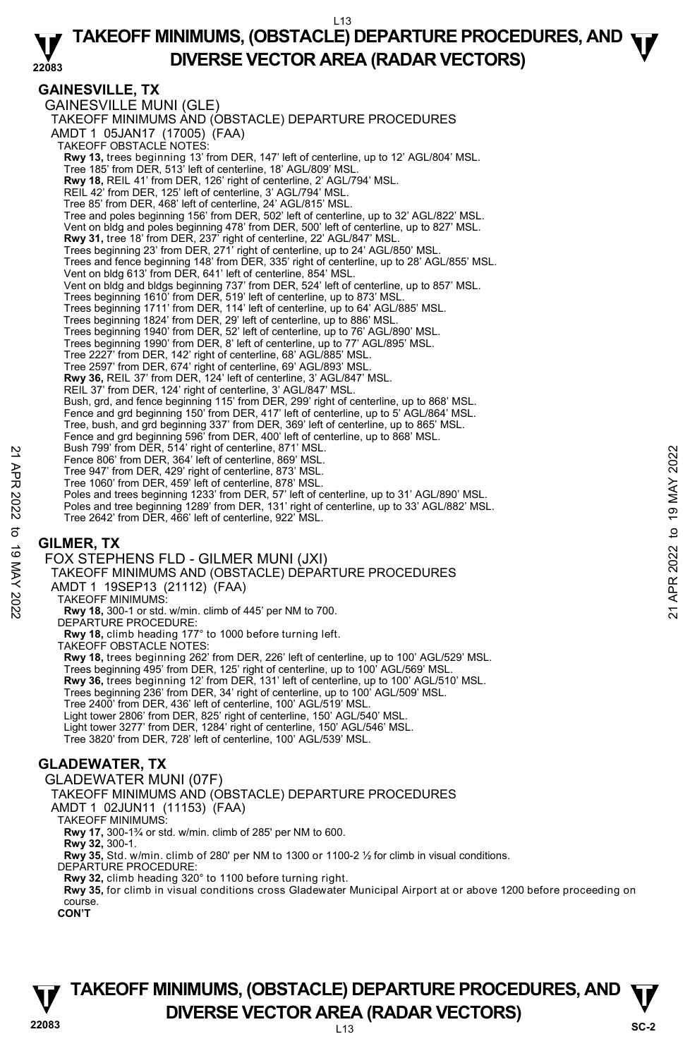#### **22083 TAKEOFF MINIMUMS, (OBSTACLE) DEPARTURE PROCEDURES, AND**  $\Psi$ **DIVERSE VECTOR AREA (RADAR VECTORS)**

# **GAINESVILLE, TX**

GAINESVILLE MUNI (GLE) TAKEOFF MINIMUMS AND (OBSTACLE) DEPARTURE PROCEDURES AMDT 1 05JAN17 (17005) (FAA) TAKEOFF OBSTACLE NOTES: **Rwy 13,** trees beginning 13' from DER, 147' left of centerline, up to 12' AGL/804' MSL.<br>Tree 185' from DER, 513' left of centerline, 18' AGL/809' MSL. **Rwy 18,** REIL 41' from DER, 126' right of centerline, 2' AGL/794' MSL. REIL 42' from DER, 125' left of centerline, 3' AGL/794' MSL. Tree 85' from DER, 468' left of centerline, 24' AGL/815' MSL. Tree and poles beginning 156' from DER, 502' left of centerline, up to 32' AGL/822' MSL. Vent on bldg and poles beginning 478' from DER, 500' left of centerline, up to 827' MSL. **Rwy 31,** tree 18' from DER, 237' right of centerline, 22' AGL/847' MSL.<br>Trees beginning 23' from DER, 271' right of centerline, up to 24' AGL/850' MSL. Trees and fence beginning 148' from DER, 335' right of centerline, up to 28' AGL/855' MSL. Vent on bldg 613' from DER, 641' left of centerline, 854' MSL. Vent on bldg and bldgs beginning 737' from DER, 524' left of centerline, up to 857' MSL. Trees beginning 1610' from DER, 519' left of centerline, up to 873' MSL. Trees beginning 1711' from DER, 114' left of centerline, up to 64' AGL/885' MSL. Trees beginning 1824' from DER, 29' left of centerline, up to 886' MSL. Trees beginning 1940' from DER, 52' left of centerline, up to 76' AGL/890' MSL. Trees beginning 1990' from DER, 8' left of centerline, up to 77' AGL/895' MSL. Tree 2227' from DER, 142' right of centerline, 68' AGL/885' MSL. Tree 2597' from DER, 674' right of centerline, 69' AGL/893' MSL. **Rwy 36,** REIL 37' from DER, 124' left of centerline, 3' AGL/847' MSL. REIL 37' from DER, 124' right of centerline, 3' AGL/847' MSL. Bush, grd, and fence beginning 115' from DER, 299' right of centerline, up to 868' MSL. Fence and grd beginning 150' from DER, 417' left of centerline, up to 5' AGL/864' MSL. Tree, bush, and grd beginning 337' from DER, 369' left of centerline, up to 865' MSL. Fence and grd beginning 596' from DER, 400' left of centerline, up to 868' MSL. Bush 799' from DER, 514' right of centerline, 871' MSL. Fence 806' from DER, 364' left of centerline, 869' MSL. Tree 947' from DER, 429' right of centerline, 873' MSL. Tree 1060' from DER, 459' left of centerline, 878' MSL. Poles and trees beginning 1233' from DER, 57' left of centerline, up to 31' AGL/890' MSL. Poles and tree beginning 1289' from DER, 131' right of centerline, up to 33' AGL/882' MSL. Tree 2642' from DER, 466' left of centerline, 922' MSL. FOX STEPHENS FLD - GILMER MUNI (JXI) Exam (1991 Trom DER, 364' left of centerline, 869' MSL.<br>
Tree 947' from DER, 364' left of centerline, 869' MSL.<br>
Tree 947' from DER, 429' right of centerline, 873' MSL.<br>
Poles and trees beginning 1233' from DER, 57' left

# **GILMER, TX**

TAKEOFF MINIMUMS AND (OBSTACLE) DÈPARTURE PROCEDURES AMDT 1 19SEP13 (21112) (FAA) TAKEOFF MINIMUMS: **Rwy 18,** 300-1 or std. w/min. climb of 445' per NM to 700. DEPARTURE PROCEDURE: **Rwy 18,** climb heading 177° to 1000 before turning left. TAKEOFF OBSTACLE NOTES: **Rwy 18,** trees beginning 262' from DER, 226' left of centerline, up to 100' AGL/529' MSL. Trees beginning 495' from DER, 125' right of centerline, up to 100' AGL/569' MSL. **Rwy 36,** trees beginning 12' from DER, 131' left of centerline, up to 100' AGL/510' MSL. Trees beginning 236' from DER, 34' right of centerline, up to 100' AGL/509' MSL. Tree 2400' from DER, 436' left of centerline, 100' AGL/519' MSL. Light tower 2806' from DER, 825' right of centerline, 150' AGL/540' MSL. Light tower 3277' from DER, 1284' right of centerline, 150' AGL/546' MSL. Tree 3820' from DER, 728' left of centerline, 100' AGL/539' MSL.

# **GLADEWATER, TX**

GLADEWATER MUNI (07F) TAKEOFF MINIMUMS AND (OBSTACLE) DEPARTURE PROCEDURES

AMDT 1 02JUN11 (11153) (FAA)

TAKEOFF MINIMUMS:

**Rwy 17,** 300-1¾ or std. w/min. climb of 285' per NM to 600. **Rwy 32,** 300-1.

**Rwy 35,** Std. w/min. climb of 280' per NM to 1300 or 1100-2 ½ for climb in visual conditions.

DEPARTURE PROCEDURE

**Rwy 32,** climb heading 320° to 1100 before turning right.

**Rwy 35,** for climb in visual conditions cross Gladewater Municipal Airport at or above 1200 before proceeding on course.

**CON'T** 

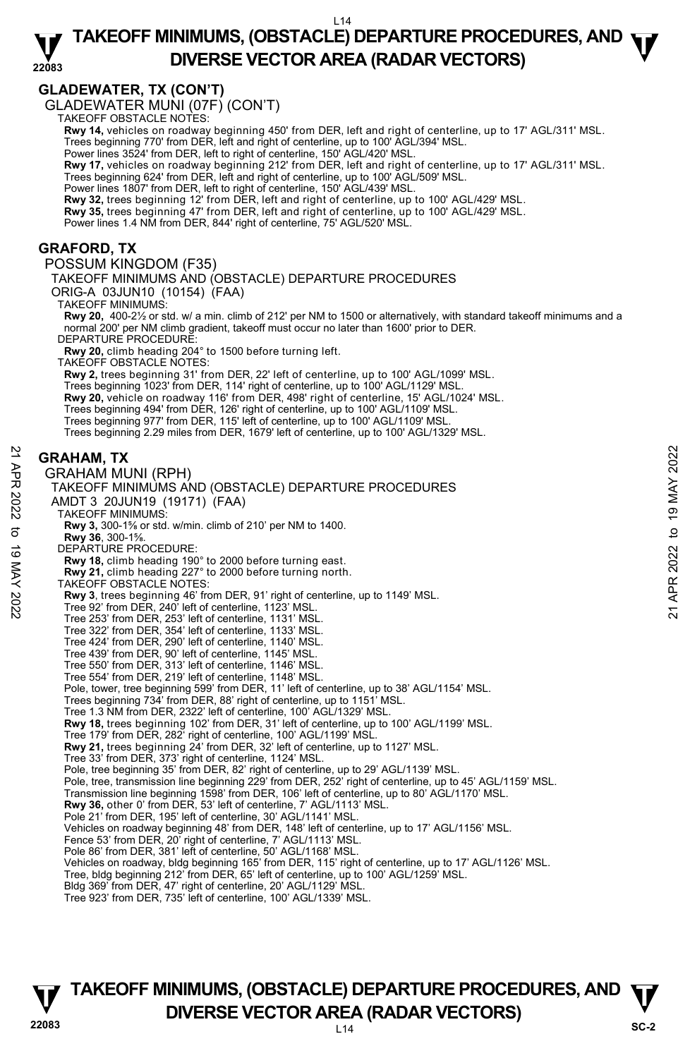#### **22083 TAKEOFF MINIMUMS, (OBSTACLE) DEPARTURE PROCEDURES, AND**  $\Psi$ **DIVERSE VECTOR AREA (RADAR VECTORS)**

# **GLADEWATER, TX (CON'T)**

GLADEWATER MUNI (07F) (CON'T) TAKEOFF OBSTACLE NOTES:

**Rwy 14,** vehicles on roadway beginning 450' from DER, left and right of centerline, up to 17' AGL/311' MSL.

Trees beginning 770' from DER, left and right of centerline, up to 100' AGL/394' MSL. Power lines 3524' from DER, left to right of centerline, 150' AGL/420' MSL.

**Rwy 17,** vehicles on roadway beginning 212' from DER, left and right of centerline, up to 17' AGL/311' MSL.

Trees beginning 624' from DER, left and right of centerline, up to 100' AGL/509' MSL. Power lines 1807' from DER, left to right of centerline, 150' AGL/439' MSL.

**Rwy 32,** trees beginning 12' from DER, left and right of centerline, up to 100' AGL/429' MSL. **Rwy 35,** trees beginning 47' from DER, left and right of centerline, up to 100' AGL/429' MSL.

Power lines 1.4 NM from DER, 844' right of centerline, 75' AGL/520' MSL.

### **GRAFORD, TX**

POSSUM KINGDOM (F35)

TAKEOFF MINIMUMS AND (OBSTACLE) DEPARTURE PROCEDURES

ORIG-A 03JUN10 (10154) (FAA)

TAKEOFF MINIMUMS:

**Rwy 20,** 400-2½ or std. w/ a min. climb of 212' per NM to 1500 or alternatively, with standard takeoff minimums and a normal 200' per NM climb gradient, takeoff must occur no later than 1600' prior to DER. DEPARTURE PROCEDURE:

**Rwy 20,** climb heading 204° to 1500 before turning left.

TAKEOFF OBSTACLE NOTES:

**Rwy 2,** trees beginning 31' from DER, 22' left of centerline, up to 100' AGL/1099' MSL. Trees beginning 1023' from DER, 114' right of centerline, up to 100' AGL/1129' MSL. **Rwy 20,** vehicle on roadway 116' from DER, 498' right of centerline, 15' AGL/1024' MSL. Trees beginning 494' from DER, 126' right of centerline, up to 100' AGL/1109' MSL. Trees beginning 977' from DER, 115' left of centerline, up to 100' AGL/1109' MSL. Trees beginning 2.29 miles from DER, 1679' left of centerline, up to 100' AGL/1329' MSL.

### **GRAHAM, TX**

GRAHAM MUNI (RPH) TAKEOFF MINIMUMS AND (OBSTACLE) DEPARTURE PROCEDURES AMDT 3 20JUN19 (19171) (FAA) TAKEOFF MINIMUMS: **Rwy 3,** 300-1⅝ or std. w/min. climb of 210' per NM to 1400. **Rwy 36**, 300-1⅝. DEPARTURE PROCEDURE: **Rwy 18,** climb heading 190° to 2000 before turning east. **Rwy 21,** climb heading 227° to 2000 before turning north. TAKEOFF OBSTACLE NOTES: **Rwy 3**, trees beginning 46' from DER, 91' right of centerline, up to 1149' MSL.<br>Tree 92' from DER, 240' left of centerline, 1123' MSL. Tree 253' from DER, 253' left of centerline, 1131' MSL. Tree 322' from DER, 354' left of centerline, 1133' MSL. Tree 424' from DER, 290' left of centerline, 1140' MSL. Tree 439' from DER, 90' left of centerline, 1145' MSL. Tree 550' from DER, 313' left of centerline, 1146' MSL. Tree 554' from DER, 219' left of centerline, 1148' MSL. Pole, tower, tree beginning 599' from DER, 11' left of centerline, up to 38' AGL/1154' MSL. Trees beginning 734' from DER, 88' right of centerline, up to 1151' MSL. Tree 1.3 NM from DER, 2322' left of centerline, 100' AGL/1329' MSL. **Rwy 18,** trees beginning 102' from DER, 31' left of centerline, up to 100' AGL/1199' MSL. Tree 179' from DER, 282' right of centerline, 100' AGL/1199' MSL. **Rwy 21,** trees beginning 24' from DER, 32' left of centerline, up to 1127' MSL. Tree 33' from DER, 373' right of centerline, 1124' MSL. Pole, tree beginning 35' from DER, 82' right of centerline, up to 29' AGL/1139' MSL. Pole, tree, transmission line beginning 229' from DER, 252' right of centerline, up to 45' AGL/1159' MSL. Transmission line beginning 1598' from DER, 106' left of centerline, up to 80' AGL/1170' MSL. **Rwy 36,** other 0' from DER, 53' left of centerline, 7' AGL/1113' MSL. Pole 21' from DER, 195' left of centerline, 30' AGL/1141' MSL. Vehicles on roadway beginning 48' from DER, 148' left of centerline, up to 17' AGL/1156' MSL. Fence 53' from DER, 20' right of centerline, 7' AGL/1113' MSL. Pole 86' from DER, 381' left of centerline, 50' AGL/1168' MSL. Vehicles on roadway, bldg beginning 165' from DER, 115' right of centerline, up to 17' AGL/1126' MSL. Tree, bldg beginning 212' from DER, 65' left of centerline, up to 100' AGL/1259' MSL. Bldg 369' from DER, 47' right of centerline, 20' AGL/1129' MSL. Tree 923' from DER, 735' left of centerline, 100' AGL/1339' MSL. **GRAHAM, TX**<br>  $\frac{22}{27}$ <br> **GRAHAM MUNI (RPH)**<br>
TAKEOFF MINIMUMS AND (OBSTACLE) DEPARTURE PROCEDURES<br>
AMDT 3 20JUNN19 (19171) (FAA)<br>
TAKEOFF MINIMUMS:<br>
TAKEOFF MINIMUMS:<br>
TAKEOFF MINIMUMS:<br>
TAKEOFF MINIMUMS:<br>
TAKEOFF MINI

# **22083** L14 **TAKEOFF MINIMUMS, (OBSTACLE) DEPARTURE PROCEDURES, AND**  $\Psi$ **DIVERSE VECTOR AREA (RADAR VECTORS)** SC-2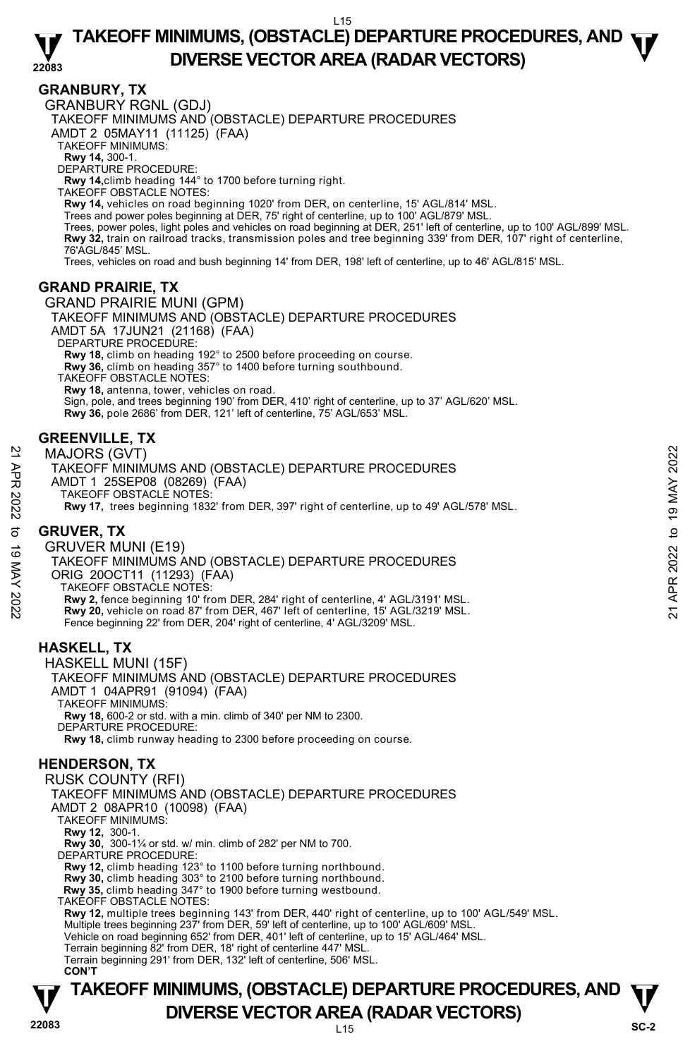### **22083 TAKEOFF MINIMUMS, (OBSTACLE) DEPARTURE PROCEDURES, AND**  $\Psi$ **DIVERSE VECTOR AREA (RADAR VECTORS)**

# **GRANBURY, TX**

GRANBURY RGNL (GDJ)

TAKEOFF MINIMUMS AND (OBSTACLE) DEPARTURE PROCEDURES

AMDT 2 05MAY11 (11125) (FAA)

TAKEOFF MINIMUMS:

**Rwy 14,** 300-1. DEPARTURE PROCEDURE:

**Rwy 14,**climb heading 144° to 1700 before turning right.

TAKEOFF OBSTACLE NOTES:

**Rwy 14,** vehicles on road beginning 1020' from DER, on centerline, 15' AGL/814' MSL.<br>Trees and power poles beginning at DER, 75' right of centerline, up to 100' AGL/879' MSL.

Trees, power poles, light poles and vehicles on road beginning at DER, 251' left of centerline, up to 100' AGL/899' MSL. **Rwy 32,** train on railroad tracks, transmission poles and tree beginning 339' from DER, 107' right of centerline,<br>76'AGL/845' MSL.

Trees, vehicles on road and bush beginning 14' from DER, 198' left of centerline, up to 46' AGL/815' MSL.

# **GRAND PRAIRIE, TX**

GRAND PRAIRIE MUNI (GPM) TAKEOFF MINIMUMS AND (OBSTACLE) DEPARTURE PROCEDURES AMDT 5A 17JUN21 (21168) (FAA) DEPARTURE PROCEDURE: **Rwy 18,** climb on heading 192° to 2500 before proceeding on course. **Rwy 36,** climb on heading 357° to 1400 before turning southbound. TAKEOFF OBSTACLE NOTES: **Rwy 18,** antenna, tower, vehicles on road.

Sign, pole, and trees beginning 190' from DER, 410' right of centerline, up to 37' AGL/620' MSL.  **Rwy 36,** pole 2686' from DER, 121' left of centerline, 75' AGL/653' MSL.

# **GREENVILLE, TX**

MAJORS (GVT)

TAKEOFF MINIMUMS AND (OBSTACLE) DEPARTURE PROCEDURES AMDT 1 25SEP08 (08269) (FAA) TAKEOFF OBSTACLE NOTES: **Rwy 17,** trees beginning 1832' from DER, 397' right of centerline, up to 49' AGL/578' MSL.

# **GRUVER, TX**

GRUVER MUNI (E19) TAKEOFF MINIMUMS AND (OBSTACLE) DEPARTURE PROCEDURES ORIG 20OCT11 (11293) (FAA) TAKEOFF OBSTACLE NOTES: **Rwy 2,** fence beginning 10' from DER, 284' right of centerline, 4' AGL/3191' MSL. **Rwy 20,** vehicle on road 87' from DER, 467' left of centerline, 15' AGL/3219' MSL. Fence beginning 22' from DER, 204' right of centerline, 4' AGL/3209' MSL. MAJORS (GVT)<br>
TAKEOFF MINIMUMS AND (OBSTACLE) DEPARTURE PROCEDURES<br>
AMDT 1 25SEP08 (08269) (FAA)<br>
21 AMEOFF OBSTACLE NOTES:<br>
Rwy 17, trees beginning 1832' from DER, 397' right of centerline, up to 49' AGL/578' MSL.<br> **GRUVE** 

# **HASKELL, TX**

HASKELL MUNI (15F) TAKEOFF MINIMUMS AND (OBSTACLE) DEPARTURE PROCEDURES AMDT 1 04APR91 (91094) (FAA) TAKEOFF MINIMUMS: **Rwy 18,** 600-2 or std. with a min. climb of 340' per NM to 2300. DEPARTURE PROCEDURE: **Rwy 18,** climb runway heading to 2300 before proceeding on course.

# **HENDERSON, TX**

**TAKEOFF MINIMUMS, (OBSTACLE) DEPARTURE PROCEDURES, AND**  $\Psi$ **DIVERSE VECTOR AREA (RADAR VECTORS)** SC-2 RUSK COUNTY (RFI) TAKEOFF MINIMUMS AND (OBSTACLE) DEPARTURE PROCEDURES AMDT 2 08APR10 (10098) (FAA) TAKEOFF MINIMUMS: **Rwy 12,** 300-1. **Rwy 30,** 300-1¼ or std. w/ min. climb of 282' per NM to 700. DEPARTURE PROCEDURE: **Rwy 12,** climb heading 123° to 1100 before turning northbound. **Rwy 30,** climb heading 303° to 2100 before turning northbound.  **Rwy 35,** climb heading 347° to 1900 before turning westbound. TAKEOFF OBSTACLE NOTES: **Rwy 12,** multiple trees beginning 143' from DER, 440' right of centerline, up to 100' AGL/549' MSL.<br>Multiple trees beginning 237' from DER, 59' left of centerline, up to 100' AGL/609' MSL. Vehicle on road beginning 652' from DER, 401' left of centerline, up to 15' AGL/464' MSL. Terrain beginning 82' from DER, 18' right of centerline 447' MSL. Terrain beginning 291' from DER, 132' left of centerline, 506' MSL. **CON'T**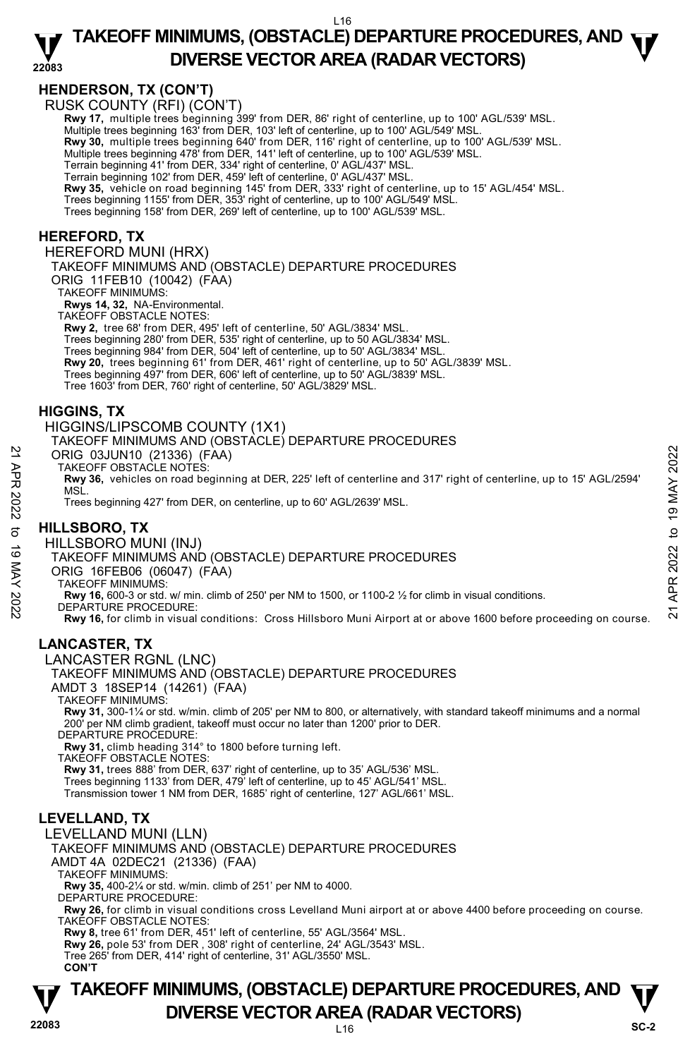

#### **22083 TAKEOFF MINIMUMS, (OBSTACLE) DEPARTURE PROCEDURES, AND**  $\Psi$ **DIVERSE VECTOR AREA (RADAR VECTORS)**

# **HENDERSON, TX (CON'T)**

RUSK COUNTY (RFI) (CON'T)

**Rwy 17,** multiple trees beginning 399' from DER, 86' right of centerline, up to 100' AGL/539' MSL. <br>Multiple trees beginning 163' from DER, 103' left of centerline, up to 100' AGL/549' MSL.

**Rwy 30,** multiple trees beginning 640' from DER, 116' right of centerline, up to 100' AGL/539' MSL. Multiple trees beginning 478' from DER, 141' left of centerline, up to 100' AGL/539' MSL.

Terrain beginning 41' from DER, 334' right of centerline, 0' AGL/437' MSL.

Terrain beginning 102' from DER, 459' left of centerline, 0' AGL/437' MSL.

**Rwy 35,** vehicle on road beginning 145' from DER, 333' right of centerline, up to 15' AGL/454' MSL.

Trees beginning 1155' from DER, 353' right of centerline, up to 100' AGL/549' MSL.

Trees beginning 158' from DER, 269' left of centerline, up to 100' AGL/539' MSL.

# **HEREFORD, TX**

HEREFORD MUNI (HRX)

TAKEOFF MINIMUMS AND (OBSTACLE) DEPARTURE PROCEDURES

ORIG 11FEB10 (10042) (FAA)

TAKEOFF MINIMUMS:

**Rwys 14, 32,** NA-Environmental. TAKEOFF OBSTACLE NOTES:

**Rwy 2,** tree 68' from DER, 495' left of centerline, 50' AGL/3834' MSL.

Trees beginning 280' from DER, 535' right of centerline, up to 50 AGL/3834' MSL.

Trees beginning 984' from DER, 504' left of centerline, up to 50' AGL/3834' MSL.

**Rwy 20,** trees beginning 61' from DER, 461' right of centerline, up to 50' AGL/3839' MSL.

Trees beginning 497' from DER, 606' left of centerline, up to 50' AGL/3839' MSL.

Tree 1603' from DER, 760' right of centerline, 50' AGL/3829' MSL.

### **HIGGINS, TX**

HIGGINS/LIPSCOMB COUNTY (1X1)

TAKEOFF MINIMUMS AND (OBSTACLE) DEPARTURE PROCEDURES

ORIG 03JUN10 (21336) (FAA)

TAKEOFF OBSTACLE NOTES:

**Rwy 36,** vehicles on road beginning at DER, 225' left of centerline and 317' right of centerline, up to 15' AGL/2594' MSL. ORIG 03JUN10 (21336) (FAA)<br>
TAKEOFF OBSTACLE NOTES:<br>
TRAVERS, vehicles on road beginning at DER, 225' left of centerline and 317' right of centerline, up to 15' AGL/2594'<br>
NSL.<br>
Trees beginning 427' from DER, on centerlin

Trees beginning 427' from DER, on centerline, up to 60' AGL/2639' MSL.

# **HILLSBORO, TX**

HILLSBORO MUNI (INJ)

#### TAKEOFF MINIMUMS AND (OBSTACLE) DEPARTURE PROCEDURES

ORIG 16FEB06 (06047) (FAA)

TAKEOFF MINIMUMS:

**Rwy 16,** 600-3 or std. w/ min. climb of 250' per NM to 1500, or 1100-2 ½ for climb in visual conditions.

DEPARTURE PROCEDURE:

**Rwy 16,** for climb in visual conditions: Cross Hillsboro Muni Airport at or above 1600 before proceeding on course.

# **LANCASTER, TX**

LANCASTER RGNL (LNC)

TAKEOFF MINIMUMS AND (OBSTACLE) DEPARTURE PROCEDURES AMDT 3 18SEP14 (14261) (FAA)

TAKEOFF MINIMUMS:

**Rwy 31,** 300-1¼ or std. w/min. climb of 205' per NM to 800, or alternatively, with standard takeoff minimums and a normal 200' per NM climb gradient, takeoff must occur no later than 1200' prior to DER. DEPARTURE PROCEDURE:

**Rwy 31,** climb heading 314° to 1800 before turning left.

TAKEOFF OBSTACLE NOTES:

**Rwy 31,** trees 888' from DER, 637' right of centerline, up to 35' AGL/536' MSL.

Trees beginning 1133' from DER, 479' left of centerline, up to 45' AGL/541' MSL.

Transmission tower 1 NM from DER, 1685' right of centerline, 127' AGL/661' MSL.

# **LEVELLAND, TX**

LEVELLAND MUNI (LLN) TAKEOFF MINIMUMS AND (OBSTACLE) DEPARTURE PROCEDURES AMDT 4A 02DEC21 (21336) (FAA) TAKEOFF MINIMUMS: **Rwy 35,** 400-2¼ or std. w/min. climb of 251' per NM to 4000. DEPARTURE PROCEDURE:

**Rwy 26,** for climb in visual conditions cross Levelland Muni airport at or above 4400 before proceeding on course. TAKEOFF OBSTACLE NOTES:

**Rwy 8,** tree 61' from DER, 451' left of centerline, 55' AGL/3564' MSL.

**Rwy 26,** pole 53' from DER , 308' right of centerline, 24' AGL/3543' MSL.

Tree 265' from DER, 414' right of centerline, 31' AGL/3550' MSL. **CON'T** 

# **TAKEOFF MINIMUMS, (OBSTACLE) DEPARTURE PROCEDURES, AND**  $\Psi$ **DIVERSE VECTOR AREA (RADAR VECTORS)** SC-2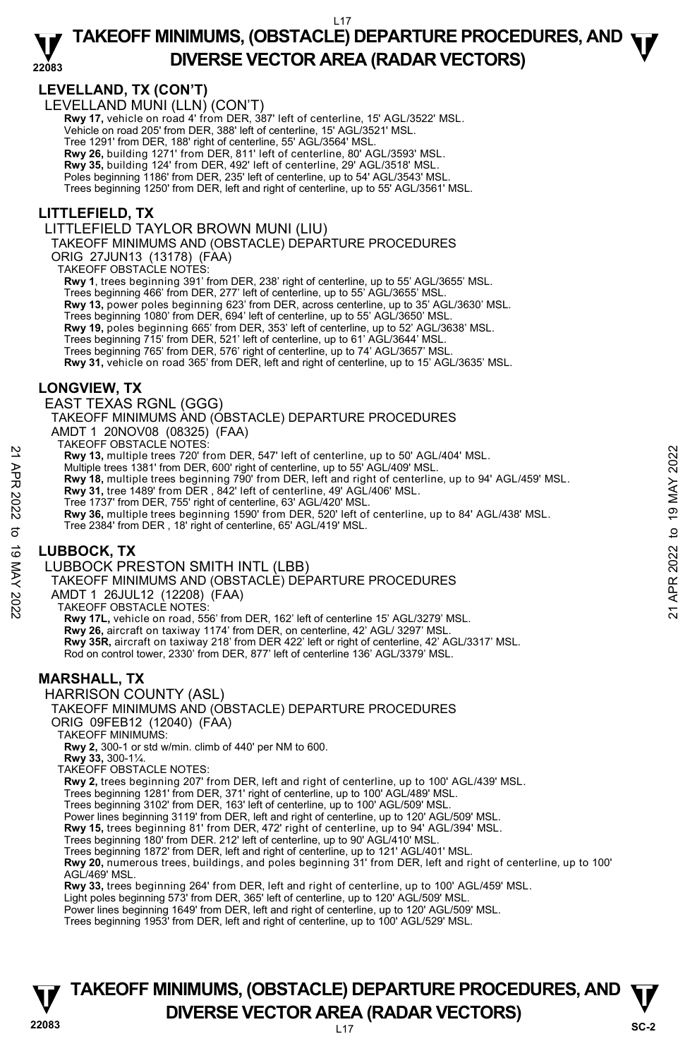#### **22083**  L17 **TAKEOFF MINIMUMS, (OBSTACLE) DEPARTURE PROCEDURES, AND**  $\Psi$ **DIVERSE VECTOR AREA (RADAR VECTORS)**

# **LEVELLAND, TX (CON'T)**

LEVELLAND MUNI (LLN) (CON'T)

**Rwy 17,** vehicle on road 4' from DER, 387' left of centerline, 15' AGL/3522' MSL. Vehicle on road 205' from DER, 388' left of centerline, 15' AGL/3521' MSL. Tree 1291' from DER, 188' right of centerline, 55' AGL/3564' MSL. **Rwy 26,** building 1271' from DER, 811' left of centerline, 80' AGL/3593' MSL.

**Rwy 35,** building 124' from DER, 492' left of centerline, 29' AGL/3518' MSL.

Poles beginning 1186' from DER, 235' left of centerline, up to 54' AGL/3543' MSL.

Trees beginning 1250' from DER, left and right of centerline, up to 55' AGL/3561' MSL.

# **LITTLEFIELD, TX**

LITTLEFIELD TAYLOR BROWN MUNI (LIU)

TAKEOFF MINIMUMS AND (OBSTACLE) DEPARTURE PROCEDURES

ORIG 27JUN13 (13178) (FAA)

TAKEOFF OBSTACLE NOTES:

**Rwy 1**, trees beginning 391' from DER, 238' right of centerline, up to 55' AGL/3655' MSL.

Trees beginning 466' from DER, 277' left of centerline, up to 55' AGL/3655' MSL. **Rwy 13,** power poles beginning 623' from DER, across centerline, up to 35' AGL/3630' MSL. Trees beginning 1080' from DER, 694' left of centerline, up to 55' AGL/3650' MSL. **Rwy 19,** poles beginning 665' from DER, 353' left of centerline, up to 52' AGL/3638' MSL. Trees beginning 715' from DER, 521' left of centerline, up to 61' AGL/3644' MSL. Trees beginning 765' from DER, 576' right of centerline, up to 74' AGL/3657' MSL. **Rwy 31,** vehicle on road 365' from DER, left and right of centerline, up to 15' AGL/3635' MSL.

# **LONGVIEW, TX**

EAST TEXAS RGNL (GGG)

TAKEOFF MINIMUMS AND (OBSTACLE) DEPARTURE PROCEDURES

AMDT 1 20NOV08 (08325) (FAA)

TAKEOFF OBSTACLE NOTES:

**Rwy 13,** multiple trees 720' from DER, 547' left of centerline, up to 50' AGL/404' MSL.

- Multiple trees 1381' from DER, 600' right of centerline, up to 55' AGL/409' MSL.
- **Rwy 18,** multiple trees beginning 790' from DER, left and right of centerline, up to 94' AGL/459' MSL.<br>**Rwy 31,** tree 1489' from DER , 842' left of centerline, 49' AGL/406' MSL.

Tree 1737' from DER, 755' right of centerline, 63' AGL/420' MSL.

**Rwy 36,** multiple trees beginning 1590' from DER, 520' left of centerline, up to 84' AGL/438' MSL. Tree 2384' from DER , 18' right of centerline, 65' AGL/419' MSL. 22 A Rive 13.81 The three States of the DER, 547' left of centerline, up to 50' AGL/404' MSL.<br>
Multiple trees 1381' from DER, 600' right of centerline, up to 57 AGL/409' MSL.<br>
A River 18, and the trees beginning 790' from

# **LUBBOCK, TX**

LUBBOCK PRESTON SMITH INTL (LBB)

TAKEOFF MINIMUMS AND (OBSTACLE) DEPARTURE PROCEDURES

AMDT 1 26JUL12 (12208) (FAA)

TAKEOFF OBSTACLE NOTES:

**Rwy 17L,** vehicle on road, 556' from DER, 162' left of centerline 15' AGL/3279' MSL. **Rwy 26,** aircraft on taxiway 1174' from DER, on centerline, 42' AGL/ 3297' MSL. **Rwy 35R,** aircraft on taxiway 218' from DER 422' left or right of centerline, 42' AGL/3317' MSL. Rod on control tower, 2330' from DER, 877' left of centerline 136' AGL/3379' MSL.

# **MARSHALL, TX**

HARRISON COUNTY (ASL)

# TAKEOFF MINIMUMS AND (OBSTACLE) DEPARTURE PROCEDURES

ORIG 09FEB12 (12040) (FAA)

TAKEOFF MINIMUMS:

**Rwy 2,** 300-1 or std w/min. climb of 440' per NM to 600.

**Rwy 33,** 300-1¼.

TAKEOFF OBSTACLE NOTES:

**Rwy 2,** trees beginning 207' from DER, left and right of centerline, up to 100' AGL/439' MSL.

Trees beginning 1281' from DER, 371' right of centerline, up to 100' AGL/489' MSL. Trees beginning 3102' from DER, 163' left of centerline, up to 100' AGL/509' MSL.

Power lines beginning 3119' from DER, left and right of centerline, up to 120' AGL/509' MSL.

**Rwy 15,** trees beginning 81' from DER, 472' right of centerline, up to 94' AGL/394' MSL.

Trees beginning 180' from DER. 212' left of centerline, up to 90' AGL/410' MSL.

Trees beginning 1872' from DER, left and right of centerline, up to 121' AGL/401' MSL.

**Rwy 20,** numerous trees, buildings, and poles beginning 31' from DER, left and right of centerline, up to 100' AGL/469' MSL.

**Rwy 33,** trees beginning 264' from DER, left and right of centerline, up to 100' AGL/459' MSL.

Light poles beginning 573' from DER, 365' left of centerline, up to 120' AGL/509' MSL.

Power lines beginning 1649' from DER, left and right of centerline, up to 120' AGL/509' MSL. Trees beginning 1953' from DER, left and right of centerline, up to 100' AGL/529' MSL.

# **22083** L17 **TAKEOFF MINIMUMS, (OBSTACLE) DEPARTURE PROCEDURES, AND**  $\Psi$ **DIVERSE VECTOR AREA (RADAR VECTORS)** SC-2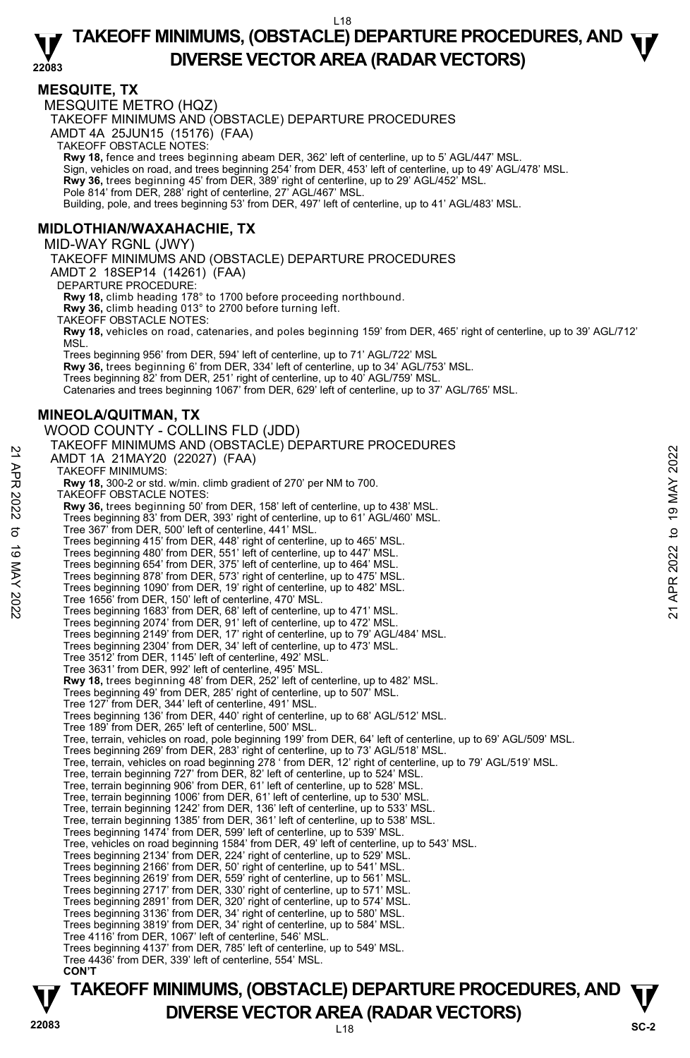#### **22083 TAKEOFF MINIMUMS, (OBSTACLE) DEPARTURE PROCEDURES, AND**  $\Psi$ **DIVERSE VECTOR AREA (RADAR VECTORS)**

#### **MESQUITE, TX**

MESQUITE METRO (HQZ) TAKEOFF MINIMUMS AND (OBSTACLE) DEPARTURE PROCEDURES AMDT 4A 25JUN15 (15176) (FAA) TAKEOFF OBSTACLE NOTES: **Rwy 18,** fence and trees beginning abeam DER, 362' left of centerline, up to 5' AGL/447' MSL. Sign, vehicles on road, and trees beginning 254' from DER, 453' left of centerline, up to 49' AGL/478' MSL. **Rwy 36,** trees beginning 45' from DER, 389' right of centerline, up to 29' AGL/452' MSL. Pole 814' from DER, 288' right of centerline, 27' AGL/467' MSL. Building, pole, and trees beginning 53' from DER, 497' left of centerline, up to 41' AGL/483' MSL. **MIDLOTHIAN/WAXAHACHIE, TX**  MID-WAY RGNL (JWY) TAKEOFF MINIMUMS AND (OBSTACLE) DEPARTURE PROCEDURES AMDT 2 18SEP14 (14261) (FAA) DEPARTURE PROCEDURE: **Rwy 18,** climb heading 178° to 1700 before proceeding northbound. **Rwy 36,** climb heading 013° to 2700 before turning left. TAKEOFF OBSTACLE NOTES: **Rwy 18,** vehicles on road, catenaries, and poles beginning 159' from DER, 465' right of centerline, up to 39' AGL/712' MSL. Trees beginning 956' from DER, 594' left of centerline, up to 71' AGL/722' MSL **Rwy 36,** trees beginning 6' from DER, 334' left of centerline, up to 34' AGL/753' MSL. Trees beginning 82' from DER, 251' right of centerline, up to 40' AGL/759' MSL. Catenaries and trees beginning 1067' from DER, 629' left of centerline, up to 37' AGL/765' MSL. **MINEOLA/QUITMAN, TX**  WOOD COUNTY - COLLINS FLD (JDD) TAKEOFF MINIMUMS AND (OBSTACLE) DEPARTURE PROCEDURES AMDT 1A 21MAY20 (22027) (FAA) TAKEOFF MINIMUMS: **Rwy 18,** 300-2 or std. w/min. climb gradient of 270' per NM to 700. TAKEOFF OBSTACLE NOTES: **Rwy 36,** trees beginning 50' from DER, 158' left of centerline, up to 438' MSL. Trees beginning 83' from DER, 393' right of centerline, up to 61' AGL/460' MSL. Tree 367' from DER, 500' left of centerline, 441' MSL. Trees beginning 415' from DER, 448' right of centerline, up to 465' MSL. Trees beginning 480' from DER, 551' left of centerline, up to 447' MSL. Trees beginning 654' from DER, 375' left of centerline, up to 464' MSL. Trees beginning 878' from DER, 573' right of centerline, up to 475' MSL. Trees beginning 1090' from DER, 19' right of centerline, up to 482' MSL. Tree 1656' from DER, 150' left of centerline, 470' MSL. Trees beginning 1683' from DER, 68' left of centerline, up to 471' MSL. Trees beginning 2074' from DER, 91' left of centerline, up to 472' MSL. Trees beginning 2149' from DER, 17' right of centerline, up to 79' AGL/484' MSL. Trees beginning 2304' from DER, 34' left of centerline, up to 473' MSL. Tree 3512' from DER, 1145' left of centerline, 492' MSL. Tree 3631' from DER, 992' left of centerline, 495' MSL. **Rwy 18,** trees beginning 48' from DER, 252' left of centerline, up to 482' MSL. Trees beginning 49' from DER, 285' right of centerline, up to 507' MSL. Tree 127' from DER, 344' left of centerline, 491' MSL. Trees beginning 136' from DER, 440' right of centerline, up to 68' AGL/512' MSL. Tree 189' from DER, 265' left of centerline, 500' MSL. Tree, terrain, vehicles on road, pole beginning 199' from DER, 64' left of centerline, up to 69' AGL/509' MSL. AMIDT 1A 21MAY200 (22027) (FAA)<br>
TAKEOFF MINIMUMS:<br>
TAKEOFF MINIMUMS:<br>
RWY 18, 300-2 or std. w/min. climb gradient of 270' per NM to 700.<br>
RWY 16, 200-2 or std. w/min. climb gradient of 270' per NM to 700.<br>
TAKEOFF OBSTACL

Trees beginning 269' from DER, 283' right of centerline, up to 73' AGL/518' MSL. Tree, terrain, vehicles on road beginning 278 ' from DER, 12' right of centerline, up to 79' AGL/519' MSL.

- Tree, terrain beginning 727' from DER, 82' left of centerline, up to 524' MSL.
- Tree, terrain beginning 906' from DER, 61' left of centerline, up to 528' MSL.

Tree, terrain beginning 1006' from DER, 61' left of centerline, up to 530' MSL. Tree, terrain beginning 1242' from DER, 136' left of centerline, up to 533' MSL.

- Tree, terrain beginning 1385' from DER, 361' left of centerline, up to 538' MSL.
- Trees beginning 1474' from DER, 599' left of centerline, up to 539' MSL. Tree, vehicles on road beginning 1584' from DER, 49' left of centerline, up to 543' MSL.
- Trees beginning 2134' from DER, 224' right of centerline, up to 529' MSL.
- 
- Trees beginning 2166' from DER, 50' right of centerline, up to 541' MSL. Trees beginning 2619' from DER, 559' right of centerline, up to 561' MSL.
- Trees beginning 2717' from DER, 330' right of centerline, up to 571' MSL.
- Trees beginning 2891' from DER, 320' right of centerline, up to 574' MSL.
- Trees beginning 3136' from DER, 34' right of centerline, up to 580' MSL.
- Trees beginning 3819' from DER, 34' right of centerline, up to 584' MSL.
- Tree 4116' from DER, 1067' left of centerline, 546' MSL.
- Trees beginning 4137' from DER, 785' left of centerline, up to 549' MSL. Tree 4436' from DER, 339' left of centerline, 554' MSL.
- **CON'T**

# **TAKEOFF MINIMUMS, (OBSTACLE) DEPARTURE PROCEDURES, AND**  $\Psi$ **DIVERSE VECTOR AREA (RADAR VECTORS)** SC-2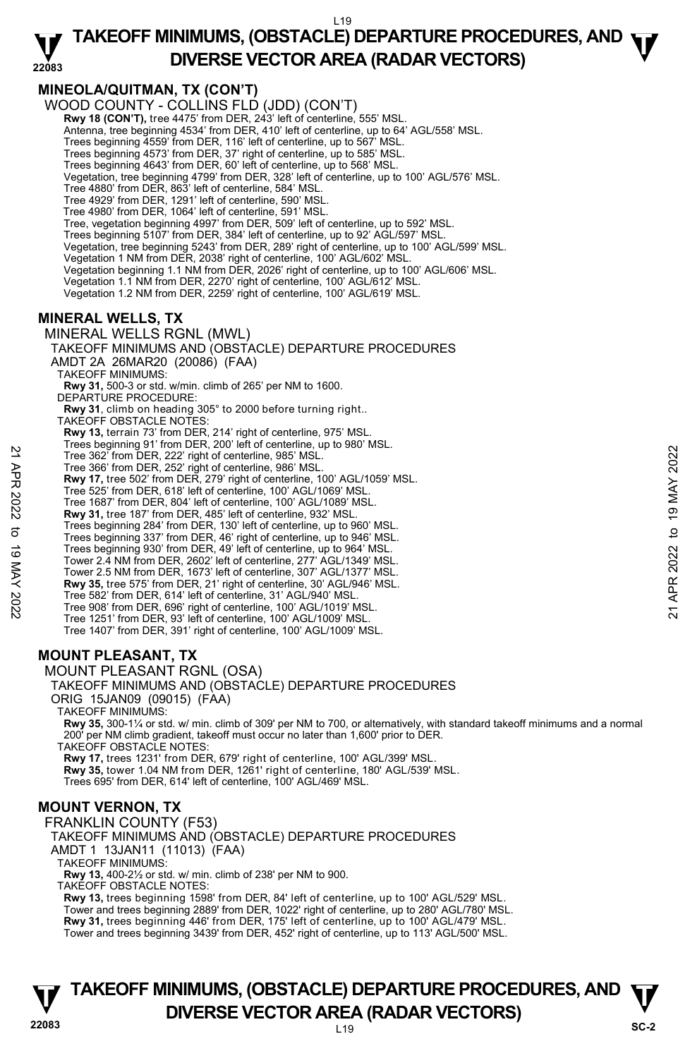#### **22083 TAKEOFF MINIMUMS, (OBSTACLE) DEPARTURE PROCEDURES, AND**  $\Psi$ **DIVERSE VECTOR AREA (RADAR VECTORS)**

# **MINEOLA/QUITMAN, TX (CON'T)**

WOOD COUNTY - COLLINS FLD (JDD) (CON'T) **Rwy 18 (CON'T),** tree 4475' from DER, 243' left of centerline, 555' MSL. Antenna, tree beginning 4534' from DER, 410' left of centerline, up to 64' AGL/558' MSL. Trees beginning 4559' from DER, 116' left of centerline, up to 567' MSL. Trees beginning 4573' from DER, 37' right of centerline, up to 585' MSL. Trees beginning 4643' from DER, 60' left of centerline, up to 568' MSL. Vegetation, tree beginning 4799' from DER, 328' left of centerline, up to 100' AGL/576' MSL. Tree 4880' from DER, 863' left of centerline, 584' MSL. Tree 4929' from DER, 1291' left of centerline, 590' MSL. Tree 4980' from DER, 1064' left of centerline, 591' MSL. Tree, vegetation beginning 4997' from DER, 509' left of centerline, up to 592' MSL. Trees beginning 5107' from DER, 384' left of centerline, up to 92' AGL/597' MSL. Vegetation, tree beginning 5243' from DER, 289' right of centerline, up to 100' AGL/599' MSL. Vegetation 1 NM from DER, 2038' right of centerline, 100' AGL/602' MSL. Vegetation beginning 1.1 NM from DER, 2026' right of centerline, up to 100' AGL/606' MSL. Vegetation 1.1 NM from DER, 2270' right of centerline, 100' AGL/612' MSL. Vegetation 1.2 NM from DER, 2259' right of centerline, 100' AGL/619' MSL. **MINERAL WELLS, TX**  MINERAL WELLS RGNL (MWL) TAKEOFF MINIMUMS AND (OBSTACLE) DEPARTURE PROCEDURES

AMDT 2A 26MAR20 (20086) (FAA)

TAKEOFF MINIMUMS:

**Rwy 31,** 500-3 or std. w/min. climb of 265' per NM to 1600.

DEPARTURE PROCEDURE:

- **Rwy 31**, climb on heading 305° to 2000 before turning right..
- TAKEOFF OBSTACLE NOTES:
	- **Rwy 13,** terrain 73' from DER, 214' right of centerline, 975' MSL.
	- Trees beginning 91' from DER, 200' left of centerline, up to 980' MSL. Tree 362' from DER, 222' right of centerline, 985' MSL.
- 
- Tree 366' from DER, 252' right of centerline, 986' MSL.
- **Rwy 17,** tree 502' from DER, 279' right of centerline, 100' AGL/1059' MSL.
- Tree 525' from DER, 618' left of centerline, 100' AGL/1069' MSL.
- Tree 1687' from DER, 804' left of centerline, 100' AGL/1089' MSL.
- **Rwy 31,** tree 187' from DER, 485' left of centerline, 932' MSL. Trees beginning 284' from DER, 130' left of centerline, up to 960' MSL.
- Trees beginning 337' from DER, 46' right of centerline, up to 946' MSL.
- Trees beginning 930' from DER, 49' left of centerline, up to 964' MSL.
- Tree 362' from DER, 262' right of centerline, 986' MSL.<br>
Tree 362' from DER, 252' right of centerline, 986' MSL.<br> **Rw 17, tree 502'** from DER, 279' right of centerline, 100' AGL/1069' MSL.<br>
Tree 525' from DER, 618' left o
	- Tower 2.4 NM from DER, 2602' left of centerline, 277' AGL/1349' MSL. Tower 2.5 NM from DER, 1673' left of centerline, 307' AGL/1377' MSL.
	- **Rwy 35,** tree 575' from DER, 21' right of centerline, 30' AGL/946' MSL.
	- Tree 582' from DER, 614' left of centerline, 31' AGL/940' MSL.
	- Tree 908' from DER, 696' right of centerline, 100' AGL/1019' MSL.
	- Tree 1251' from DER, 93' left of centerline, 100' AGL/1009' MSL.
	- Tree 1407' from DER, 391' right of centerline, 100' AGL/1009' MSL.

# **MOUNT PLEASANT, TX**

#### MOUNT PLEASANT RGNL (OSA)

TAKEOFF MINIMUMS AND (OBSTACLE) DEPARTURE PROCEDURES

ORIG 15JAN09 (09015) (FAA)

TAKEOFF MINIMUMS:

**Rwy 35,** 300-1¼ or std. w/ min. climb of 309' per NM to 700, or alternatively, with standard takeoff minimums and a normal 200' per NM climb gradient, takeoff must occur no later than 1,600' prior to DER. TAKEOFF OBSTACLE NOTES:

**Rwy 17,** trees 1231' from DER, 679' right of centerline, 100' AGL/399' MSL. **Rwy 35,** tower 1.04 NM from DER, 1261' right of centerline, 180' AGL/539' MSL. Trees 695' from DER, 614' left of centerline, 100' AGL/469' MSL.

#### **MOUNT VERNON, TX**

FRANKLIN COUNTY (F53) TAKEOFF MINIMUMS AND (OBSTACLE) DEPARTURE PROCEDURES AMDT 1 13JAN11 (11013) (FAA) TAKEOFF MINIMUMS: **Rwy 13,** 400-2½ or std. w/ min. climb of 238' per NM to 900. TAKEOFF OBSTACLE NOTES: **Rwy 13,** trees beginning 1598' from DER, 84' left of centerline, up to 100' AGL/529' MSL. Tower and trees beginning 2889' from DER, 1022' right of centerline, up to 280' AGL/780' MSL.<br>**Rwy 31,** trees beginning 446' from DER, 175' left of centerline, up to 100' AGL/479' MSL. Tower and trees beginning 3439' from DER, 452' right of centerline, up to 113' AGL/500' MSL.

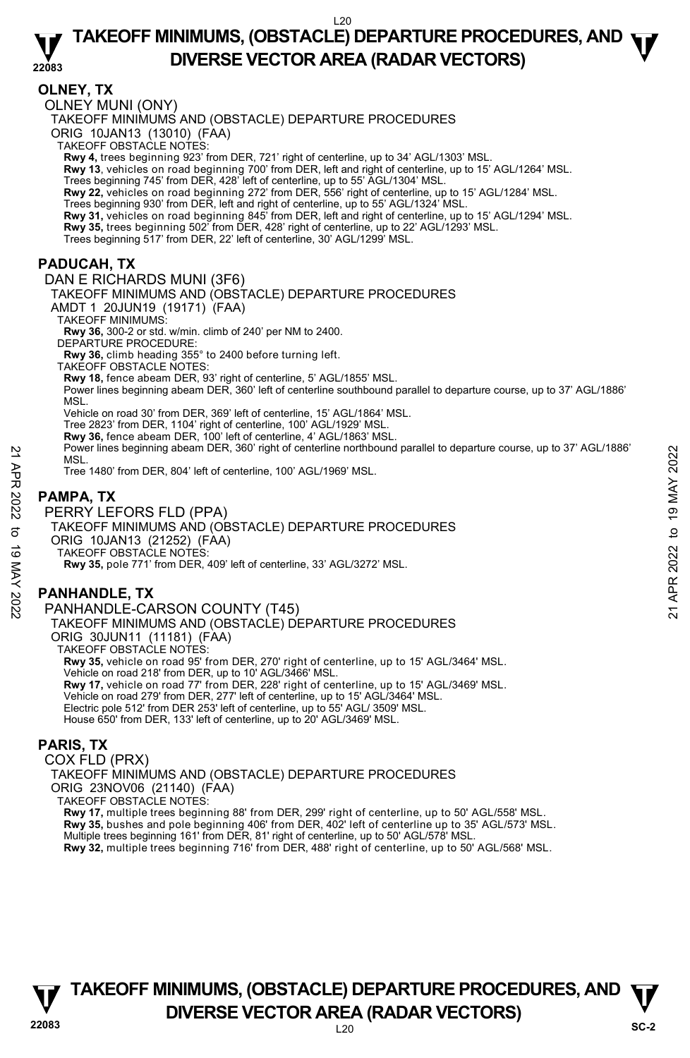# **TAKEOFF MINIMUMS, (OBSTACLE) DEPARTURE PROCEDURES, AND**  $\Psi$ **DIVERSE VECTOR AREA (RADAR VECTORS)**

**22083** 

### **OLNEY, TX**

OLNEY MUNI (ONY)

TAKEOFF MINIMUMS AND (OBSTACLE) DEPARTURE PROCEDURES

ORIG 10JAN13 (13010) (FAA)

TAKEOFF OBSTACLE NOTES:

**Rwy 4,** trees beginning 923' from DER, 721' right of centerline, up to 34' AGL/1303' MSL.

**Rwy 13**, vehicles on road beginning 700' from DER, left and right of centerline, up to 15' AGL/1264' MSL.

Trees beginning 745' from DER, 428' left of centerline, up to 55' AGL/1304' MSL.

**Rwy 22,** vehicles on road beginning 272' from DER, 556' right of centerline, up to 15' AGL/1284' MSL.

Trees beginning 930' from DER, left and right of centerline, up to 55' AGL/1324' MSL.<br>**Rwy 31,** vehicles on road beginning 845' from DER, left and right of centerline, up to 15' AGL/1294' MSL.

**Rwy 35,** trees beginning 502' from DER, 428' right of centerline, up to 22' AGL/1293' MSL.

Trees beginning 517' from DER, 22' left of centerline, 30' AGL/1299' MSL.

### **PADUCAH, TX**

DAN E RICHARDS MUNI (3F6) TAKEOFF MINIMUMS AND (OBSTACLE) DEPARTURE PROCEDURES AMDT 1 20JUN19 (19171) (FAA) TAKEOFF MINIMUMS: **Rwy 36,** 300-2 or std. w/min. climb of 240' per NM to 2400. DEPARTURE PROCEDURE: **Rwy 36,** climb heading 355° to 2400 before turning left. TAKEOFF OBSTACLE NOTES: **Rwy 18,** fence abeam DER, 93' right of centerline, 5' AGL/1855' MSL. Power lines beginning abeam DER, 360' left of centerline southbound parallel to departure course, up to 37' AGL/1886' MSL. Vehicle on road 30' from DER, 369' left of centerline, 15' AGL/1864' MSL. Tree 2823' from DER, 1104' right of centerline, 100' AGL/1929' MSL. **Rwy 36,** fence abeam DER, 100' left of centerline, 4' AGL/1863' MSL. Power lines beginning abeam DER, 360' right of centerline northbound parallel to departure course, up to 37' AGL/1886' **MSL** 

Tree 1480' from DER, 804' left of centerline, 100' AGL/1969' MSL.

# **PAMPA, TX**

PERRY LEFORS FLD (PPA) TAKEOFF MINIMUMS AND (OBSTACLE) DEPARTURE PROCEDURES ORIG 10JAN13 (21252) (FAA) TAKEOFF OBSTACLE NOTES: **Rwy 35,** pole 771' from DER, 409' left of centerline, 33' AGL/3272' MSL. MSL.<br>
MSL.<br>
MSL.<br>
MSL.<br>
Tree 1480' from DER, 804' left of centerline, 100' AGL/1969' MSL.<br>
Tree 1480' from DER, 804' left of centerline, 100' AGL/1969' MSL.<br>
PAMPA, TX<br>
PERRY LEFORS FLD (PPA)<br>
TAKEOFF MINIMUMS AND (OBSTACL

# **PANHANDLE, TX**

PANHANDLE-CARSON COUNTY (T45) TAKEOFF MINIMUMS AND (OBSTACLE) DEPARTURE PROCEDURES ORIG 30JUN11 (11181) (FAA) TAKEOFF OBSTACLE NOTES: **Rwy 35,** vehicle on road 95' from DER, 270' right of centerline, up to 15' AGL/3464' MSL. Vehicle on road 218' from DER, up to 10' AGL/3466' MSL. **Rwy 17,** vehicle on road 77' from DER, 228' right of centerline, up to 15' AGL/3469' MSL. Vehicle on road 279' from DER, 277' left of centerline, up to 15' AGL/3464' MSL. Electric pole 512' from DER 253' left of centerline, up to 55' AGL/ 3509' MSL. House 650' from DER, 133' left of centerline, up to 20' AGL/3469' MSL.

# **PARIS, TX**

COX FLD (PRX) TAKEOFF MINIMUMS AND (OBSTACLE) DEPARTURE PROCEDURES ORIG 23NOV06 (21140) (FAA) TAKEOFF OBSTACLE NOTES: **Rwy 17,** multiple trees beginning 88' from DER, 299' right of centerline, up to 50' AGL/558' MSL. **Rwy 35,** bushes and pole beginning 406' from DER, 402' left of centerline up to 35' AGL/573' MSL. Multiple trees beginning 161' from DER, 81' right of centerline, up to 50' AGL/578' MSL. **Rwy 32,** multiple trees beginning 716' from DER, 488' right of centerline, up to 50' AGL/568' MSL.



# **22083** L20 **TAKEOFF MINIMUMS, (OBSTACLE) DEPARTURE PROCEDURES, AND**  $\Psi$ **DIVERSE VECTOR AREA (RADAR VECTORS)** SC-2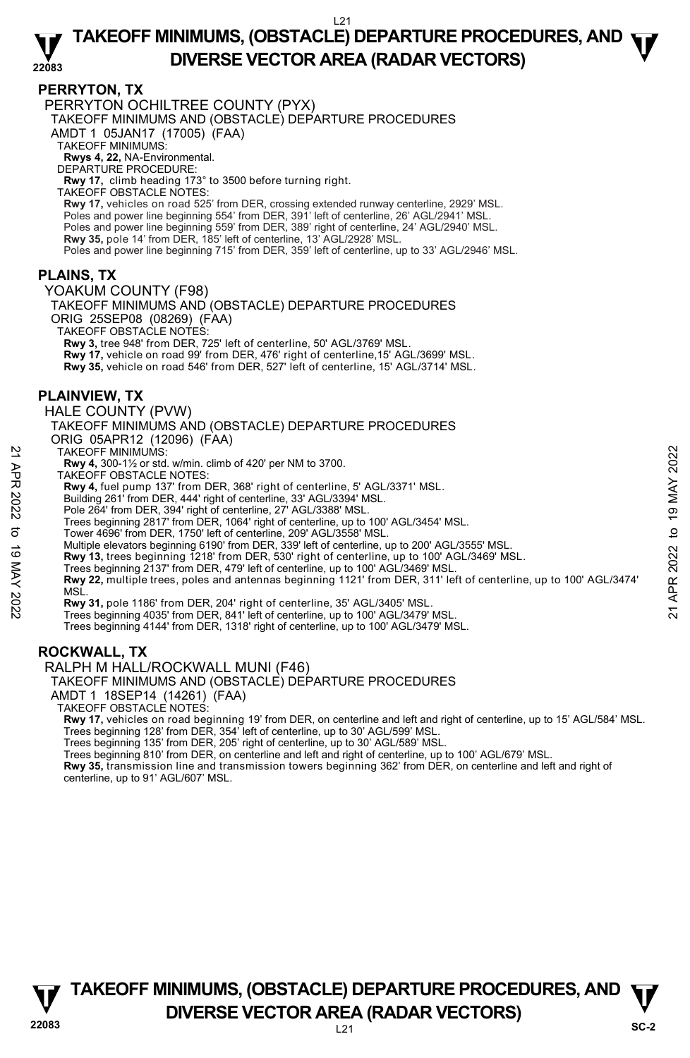#### **22083 TAKEOFF MINIMUMS, (OBSTACLE) DEPARTURE PROCEDURES, AND**  $\Psi$ **DIVERSE VECTOR AREA (RADAR VECTORS)**

#### **PERRYTON, TX**

PERRYTON OCHILTREE COUNTY (PYX)

TAKEOFF MINIMUMS AND (OBSTACLE) DEPARTURE PROCEDURES

AMDT 1 05JAN17 (17005) (FAA)

TAKEOFF MINIMUMS:

**Rwys 4, 22,** NA-Environmental. DEPARTURE PROCEDURE:

**Rwy 17,** climb heading 173° to 3500 before turning right.

TAKEOFF OBSTACLE NOTES:

**Rwy 17,** vehicles on road 525' from DER, crossing extended runway centerline, 2929' MSL.<br>Poles and power line beginning 554' from DER, 391' left of centerline, 26' AGL/2941' MSL. Poles and power line beginning 559' from DER, 389' right of centerline, 24' AGL/2940' MSL. **Rwy 35,** pole 14' from DER, 185' left of centerline, 13' AGL/2928' MSL. Poles and power line beginning 715' from DER, 359' left of centerline, up to 33' AGL/2946' MSL.

### **PLAINS, TX**

YOAKUM COUNTY (F98)

TAKEOFF MINIMUMS AND (OBSTACLE) DEPARTURE PROCEDURES ORIG 25SEP08 (08269) (FAA)

TAKEOFF OBSTACLE NOTES:

**Rwy 3,** tree 948' from DER, 725' left of centerline, 50' AGL/3769' MSL.

**Rwy 17,** vehicle on road 99' from DER, 476' right of centerline,15' AGL/3699' MSL.

**Rwy 35,** vehicle on road 546' from DER, 527' left of centerline, 15' AGL/3714' MSL.

### **PLAINVIEW, TX**

HALE COUNTY (PVW)

TAKEOFF MINIMUMS AND (OBSTACLE) DEPARTURE PROCEDURES ORIG 05APR12 (12096) (FAA)

TAKEOFF MINIMUMS:

**Rwy 4,** 300-1½ or std. w/min. climb of 420' per NM to 3700.

TAKEOFF OBSTACLE NOTES:

**Rwy 4,** fuel pump 137' from DER, 368' right of centerline, 5' AGL/3371' MSL.

Building 261' from DER, 444' right of centerline, 33' AGL/3394' MSL.

Pole 264' from DER, 394' right of centerline, 27' AGL/3388' MSL.

Trees beginning 2817' from DER, 1064' right of centerline, up to 100' AGL/3454' MSL. Tower 4696' from DER, 1750' left of centerline, 209' AGL/3558' MSL.

Multiple elevators beginning 6190' from DER, 339' left of centerline, up to 200' AGL/3555' MSL.

**Rwy 13,** trees beginning 1218' from DER, 530' right of centerline, up to 100' AGL/3469' MSL.<br>Trees beginning 2137' from DER, 479' left of centerline, up to 100' AGL/3469' MSL.

**Rwy 22,** multiple trees, poles and antennas beginning 1121' from DER, 311' left of centerline, up to 100' AGL/3474' **MSL** TAKEOFF MINIMUMS:<br>
TWA 4, 300-1½ or std. w/min. climb of 420' per NM to 3700.<br>
TAKEOFF OBSTACLE NOTES:<br>
Rwy 4, fuel pump 137' from DER, 368' right of centerline, 5' AGL/3371' MSL.<br>
Building 261' from DER, 44' right of cen

**Rwy 31,** pole 1186' from DER, 204' right of centerline, 35' AGL/3405' MSL.

Trees beginning 4035' from DER, 841' left of centerline, up to 100' AGL/3479' MSL.

Trees beginning 4144' from DER, 1318' right of centerline, up to 100' AGL/3479' MSL.

# **ROCKWALL, TX**

RALPH M HALL/ROCKWALL MUNI (F46)

TAKEOFF MINIMUMS AND (OBSTACLE) DEPARTURE PROCEDURES

AMDT 1 18SEP14 (14261) (FAA)

TAKEOFF OBSTACLE NOTES:

**Rwy 17,** vehicles on road beginning 19' from DER, on centerline and left and right of centerline, up to 15' AGL/584' MSL.<br>Trees beginning 128' from DER, 354' left of centerline, up to 30' AGL/599' MSL.

Trees beginning 135' from DER, 205' right of centerline, up to 30' AGL/589' MSL.

Trees beginning 810' from DER, on centerline and left and right of centerline, up to 100' AGL/679' MSL.

**Rwy 35,** transmission line and transmission towers beginning 362' from DER, on centerline and left and right of centerline, up to 91' AGL/607' MSL.

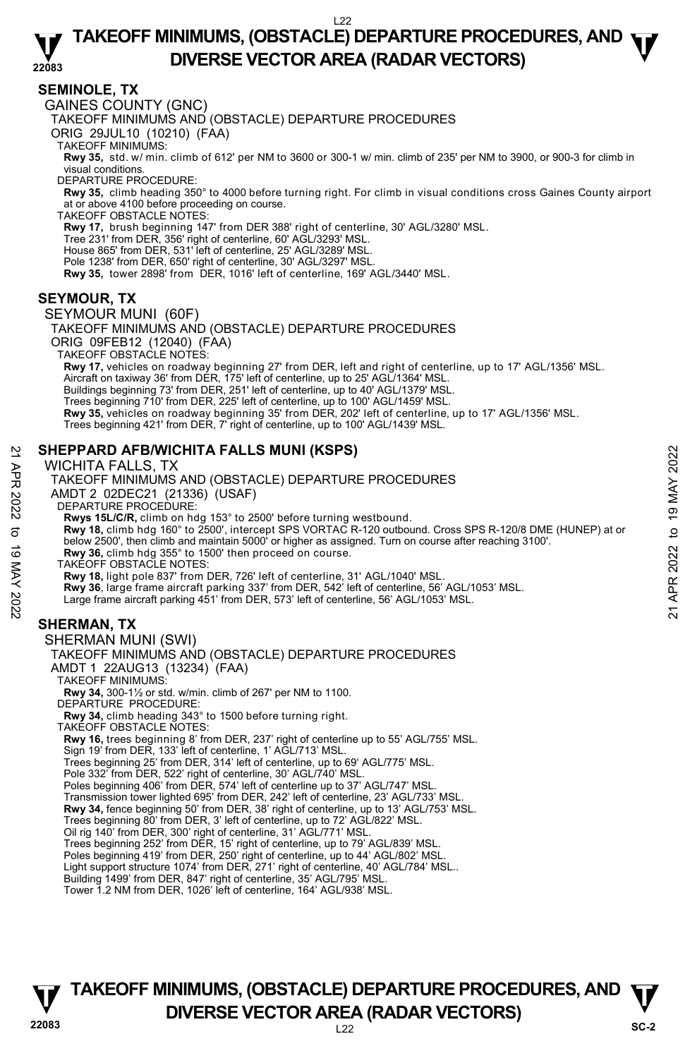#### **22083 TAKEOFF MINIMUMS, (OBSTACLE) DEPARTURE PROCEDURES, AND**  $\Psi$ **DIVERSE VECTOR AREA (RADAR VECTORS)**

### **SEMINOLE, TX**

GAINES COUNTY (GNC)

TAKEOFF MINIMUMS AND (OBSTACLE) DEPARTURE PROCEDURES

ORIG 29JUL10 (10210) (FAA)

TAKEOFF MINIMUMS:

**Rwy 35,** std. w/ min. climb of 612' per NM to 3600 or 300-1 w/ min. climb of 235' per NM to 3900, or 900-3 for climb in visual conditions.

DEPARTURE PROCEDURE:

**Rwy 35,** climb heading 350° to 4000 before turning right. For climb in visual conditions cross Gaines County airport at or above 4100 before proceeding on course. TAKEOFF OBSTACLE NOTES:

**Rwy 17,** brush beginning 147' from DER 388' right of centerline, 30' AGL/3280' MSL.

Tree 231' from DER, 356' right of centerline, 60' AGL/3293' MSL.

House 865' from DER, 531' left of centerline, 25' AGL/3289' MSL.

Pole 1238' from DER, 650' right of centerline, 30' AGL/3297' MSL.

**Rwy 35,** tower 2898' from DER, 1016' left of centerline, 169' AGL/3440' MSL.

# **SEYMOUR, TX**

#### SEYMOUR MUNI (60F)

TAKEOFF MINIMUMS AND (OBSTACLE) DEPARTURE PROCEDURES ORIG 09FEB12 (12040) (FAA) TAKEOFF OBSTACLE NOTES: **Rwy 17,** vehicles on roadway beginning 27' from DER, left and right of centerline, up to 17' AGL/1356' MSL. Aircraft on taxiway 36' from DÉR, 175' left of centerline, up to 25' AGL/1364' MSL. Buildings beginning 73' from DER, 251' left of centerline, up to 40' AGL/1379' MSL. Trees beginning 710' from DER, 225' left of centerline, up to 100' AGL/1459' MSL. **Rwy 35,** vehicles on roadway beginning 35' from DER, 202' left of centerline, up to 17' AGL/1356' MSL. Trees beginning 421' from DER, 7' right of centerline, up to 100' AGL/1439' MSL.

# **SHEPPARD AFB/WICHITA FALLS MUNI (KSPS)**

#### WICHITA FALLS, TX

TAKEOFF MINIMUMS AND (OBSTACLE) DEPARTURE PROCEDURES AMDT 2 02DEC21 (21336) (USAF) DEPARTURE PROCEDURE: **Rwys 15L/C/R,** climb on hdg 153° to 2500' before turning westbound.<br>**Rwy 18,** climb hdg 160° to 2500', intercept SPS VORTAC R-120 outbound. Cross SPS R-120/8 DME (HUNEP) at or below 2500', then climb and maintain 5000' or higher as assigned. Turn on course after reaching 3100'. **Rwy 36,** climb hdg 355° to 1500' then proceed on course. TAKEOFF OBSTACLE NOTES: **Rwy 18,** light pole 837' from DER, 726' left of centerline, 31' AGL/1040' MSL. 21 **SHEPPARD AFB/WICHITA FALLS MUNI (KSPS)**<br>
WCHITA FALLS, TX<br>
TAKEOFF MINIMUMS AND (OBSTACLE) DEPARTURE PROCEDURES<br>
AMDT 2 02DEC21 (21336) (USAF)<br>
DEPARTURE PROCEDURE:<br>
Rwy 18, climb had 153° to 2500' before turning west

**Rwy 36**, large frame aircraft parking 337' from DER, 542' left of centerline, 56' AGL/1053' MSL.

Large frame aircraft parking 451' from DER, 573' left of centerline, 56' AGL/1053' MSL.

#### **SHERMAN, TX**

#### SHERMAN MUNI (SWI)

#### TAKEOFF MINIMUMS AND (OBSTACLE) DEPARTURE PROCEDURES

AMDT 1 22AUG13 (13234) (FAA)

TAKEOFF MINIMUMS:

**Rwy 34,** 300-1½ or std. w/min. climb of 267' per NM to 1100.

DEPARTURE PROCEDURE:

**Rwy 34,** climb heading 343° to 1500 before turning right. TAKEOFF OBSTACLE NOTES:

**Rwy 16,** trees beginning 8' from DER, 237' right of centerline up to 55' AGL/755' MSL. Sign 19' from DER, 133' left of centerline, 1' AGL/713' MSL.

Trees beginning 25' from DER, 314' left of centerline, up to 69' AGL/775' MSL.

Pole 332' from DER, 522' right of centerline, 30' AGL/740' MSL.

Poles beginning 406' from DER, 574' left of centerline up to 37' AGL/747' MSL.

Transmission tower lighted 695' from DER, 242' left of centerline, 23' AGL/733' MSL.<br>**Rwy 34,** fence beginning 50' from DER, 38' right of centerline, up to 13' AGL/753' MSL.

Trees beginning 80' from DER, 3' left of centerline, up to 72' AGL/822' MSL.

Oil rig 140' from DER, 300' right of centerline, 31' AGL/771' MSL.

Trees beginning 252' from DER, 15' right of centerline, up to 79' AGL/839' MSL. Poles beginning 419' from DER, 250' right of centerline, up to 44' AGL/802' MSL.

Light support structure 1074' from DER, 271' right of centerline, 40' AGL/784' MSL..

Building 1499' from DER, 847' right of centerline, 35' AGL/795' MSL. Tower 1.2 NM from DER, 1026' left of centerline, 164' AGL/938' MSL.

# **22083** L22 **TAKEOFF MINIMUMS, (OBSTACLE) DEPARTURE PROCEDURES, AND**  $\Psi$ **DIVERSE VECTOR AREA (RADAR VECTORS)** SC-2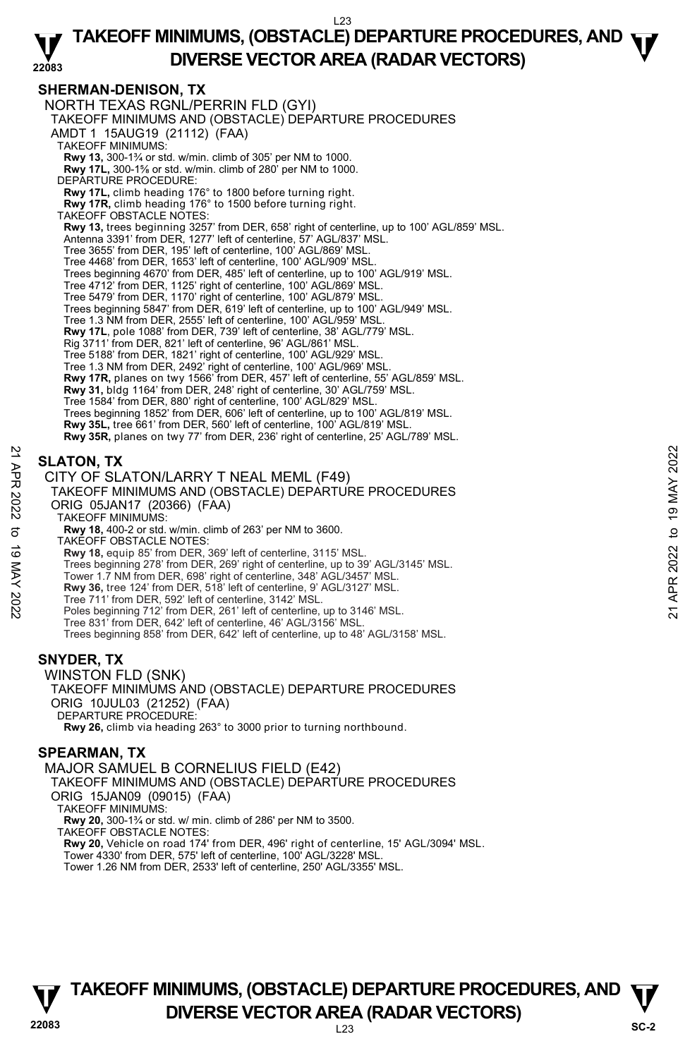#### **22083 TAKEOFF MINIMUMS, (OBSTACLE) DEPARTURE PROCEDURES, AND**  $\Psi$ **DIVERSE VECTOR AREA (RADAR VECTORS)**

#### **SHERMAN-DENISON, TX**

NORTH TEXAS RGNL/PERRIN FLD (GYI) TAKEOFF MINIMUMS AND (OBSTACLE) DEPARTURE PROCEDURES AMDT 1 15AUG19 (21112) (FAA) TAKEOFF MINIMUMS: **Rwy 13,** 300-1¾ or std. w/min. climb of 305' per NM to 1000.<br>**Rwy 17L,** 300-1⅔ or std. w/min. climb of 280' per NM to 1000. DEPARTURE PROCEDURE: **Rwy 17L,** climb heading 176° to 1800 before turning right. **Rwy 17R,** climb heading 176° to 1500 before turning right. TAKEOFF OBSTACLE NOTES: **Rwy 13,** trees beginning 3257' from DER, 658' right of centerline, up to 100' AGL/859' MSL. Antenna 3391' from DER, 1277' left of centerline, 57' AGL/837' MSL. Tree 3655' from DER, 195' left of centerline, 100' AGL/869' MSL. Tree 4468' from DER, 1653' left of centerline, 100' AGL/909' MSL. Trees beginning 4670' from DER, 485' left of centerline, up to 100' AGL/919' MSL. Tree 4712' from DER, 1125' right of centerline, 100' AGL/869' MSL. Tree 5479' from DER, 1170' right of centerline, 100' AGL/879' MSL. Trees beginning 5847' from DER, 619' left of centerline, up to 100' AGL/949' MSL. Tree 1.3 NM from DER, 2555' left of centerline, 100' AGL/959' MS **Rwy 17L**, pole 1088' from DER, 739' left of centerline, 38' AGL/779' MSL.<br>Rig 3711' from DER, 821' left of centerline, 96' AGL/861' MSL. Tree 5188' from DER, 1821' right of centerline, 100' AGL/929' MSL. Tree 1.3 NM from DER, 2492' right of centerline, 100' AGL/969' MSL. **Rwy 17R,** planes on twy 1566' from DER, 457' left of centerline, 55' AGL/859' MSL. **Rwy 31,** bldg 1164' from DER, 248' right of centerline, 30' AGL/759' MSL. Tree 1584' from DER, 880' right of centerline, 100' AGL/829' MSL. Trees beginning 1852' from DER, 606' left of centerline, up to 100' AGL/819' MSL. **Rwy 35L,** tree 661' from DER, 560' left of centerline, 100' AGL/819' MSL. **Rwy 35R,** planes on twy 77' from DER, 236' right of centerline, 25' AGL/789' MSL. **SLATON, TX**  CITY OF SLATON/LARRY T NEAL MEML (F49) TAKEOFF MINIMUMS AND (OBSTACLE) DEPARTURE PROCEDURES ORIG 05JAN17 (20366) (FAA) TAKEOFF MINIMUMS: **Rwy 18,** 400-2 or std. w/min. climb of 263' per NM to 3600. TAKEOFF OBSTACLE NOTES: **SLATON, TX**<br>
21 CITY OF SLATON/LARRY T NEAL MEML (F49)<br>
TAKEOFF MINIMUMS AND (OBSTACLE) DEPARTURE PROCEDURES<br>
22 ORIG 05JAN17 (20366) (FAA)<br>
7 TAKEOFF MINIMUMS:<br>
23 ORIG 05JAN17 (20366) (FAA)<br>
7 TAKEOFF OBSTACLE NOTES:<br>

**Rwy 18,** equip 85' from DER, 369' left of centerline, 3115' MSL.<br>Trees beginning 278' from DER, 269' right of centerline, up to 39' AGL/3145' MSL.

- Tower 1.7 NM from DER, 698' right of centerline, 348' AGL/3457' MSL.
- **Rwy 36,** tree 124' from DER, 518' left of centerline, 9' AGL/3127' MSL.
- 
- Tree 711' from DER, 592' left of centerline, 3142' MSL. Poles beginning 712' from DER, 261' left of centerline, up to 3146' MSL.
- Tree 831' from DER, 642' left of centerline, 46' AGL/3156' MSL.

Trees beginning 858' from DER, 642' left of centerline, up to 48' AGL/3158' MSL.

# **SNYDER, TX**

WINSTON FLD (SNK) TAKEOFF MINIMUMS AND (OBSTACLE) DEPARTURE PROCEDURES ORIG 10JUL03 (21252) (FAA) DEPARTURE PROCEDURE: **Rwy 26,** climb via heading 263° to 3000 prior to turning northbound.

# **SPEARMAN, TX**

MAJOR SAMUEL B CORNELIUS FIELD (E42) TAKEOFF MINIMUMS AND (OBSTACLE) DEPARTURE PROCEDURES ORIG 15JAN09 (09015) (FAA) TAKEOFF MINIMUMS: **Rwy 20,** 300-1¾ or std. w/ min. climb of 286' per NM to 3500. TAKEOFF OBSTACLE NOTES: **Rwy 20,** Vehicle on road 174' from DER, 496' right of centerline, 15' AGL/3094' MSL. Tower 4330' from DER, 575' left of centerline, 100' AGL/3228' MSL. Tower 1.26 NM from DER, 2533' left of centerline, 250' AGL/3355' MSL.



```
22083 L23 
TAKEOFF MINIMUMS, (OBSTACLE) DEPARTURE PROCEDURES, AND \PsiDIVERSE VECTOR AREA (RADAR VECTORS) SC-2
```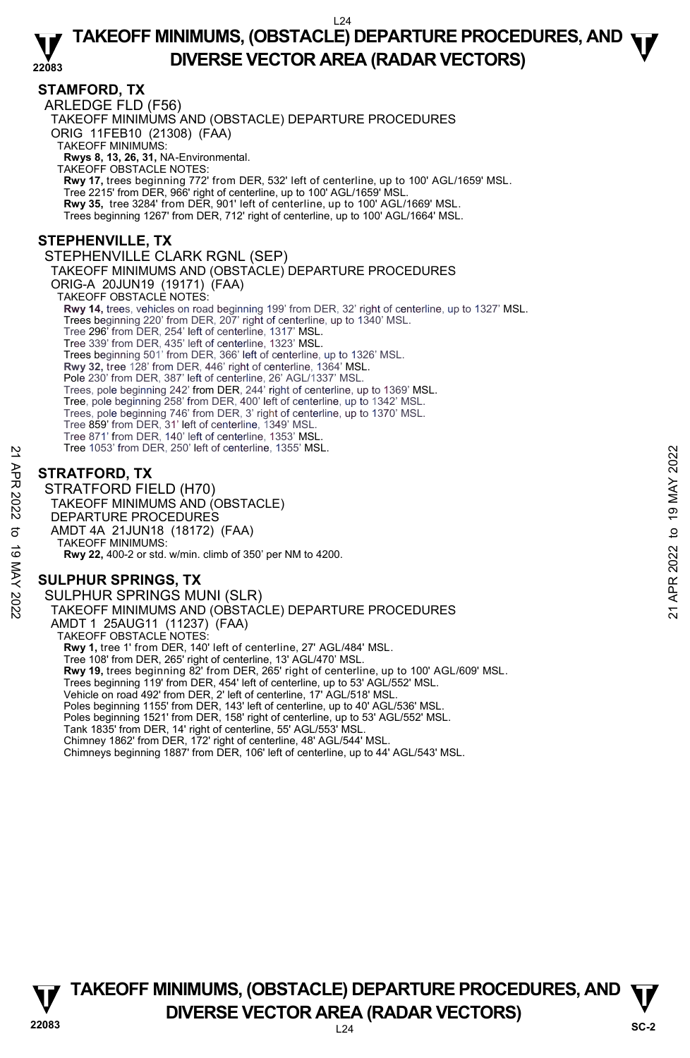#### **22083 TAKEOFF MINIMUMS, (OBSTACLE) DEPARTURE PROCEDURES, AND**  $\Psi$ **DIVERSE VECTOR AREA (RADAR VECTORS)**

# **STAMFORD, TX**

ARLEDGE FLD (F56) TAKEOFF MINIMUMS AND (OBSTACLE) DEPARTURE PROCEDURES ORIG 11FEB10 (21308) (FAA) TAKEOFF MINIMUMS: **Rwys 8, 13, 26, 31,** NA-Environmental. TAKEOFF OBSTACLE NOTES: **Rwy 17,** trees beginning 772' from DER, 532' left of centerline, up to 100' AGL/1659' MSL. Tree 2215' from DER, 966' right of centerline, up to 100' AGL/1659' MSL. **Rwy 35,** tree 3284' from DER, 901' left of centerline, up to 100' AGL/1669' MSL. Trees beginning 1267' from DER, 712' right of centerline, up to 100' AGL/1664' MSL. **STEPHENVILLE, TX**  STEPHENVILLE CLARK RGNL (SEP) TAKEOFF MINIMUMS AND (OBSTACLE) DEPARTURE PROCEDURES ORIG-A 20JUN19 (19171) (FAA) TAKEOFF OBSTACLE NOTES: **Rwy 14,** trees, vehicles on road beginning 199' from DER, 32' right of centerline, up to 1327' MSL. Trees beginning 220' from DER, 207' right of centerline, up to 1340' MSL. Tree 296' from DER, 254' left of centerline, 1317' MSL. Tree 339' from DER, 435' left of centerline, 1323' MSL. Trees beginning 501' from DER, 366' left of centerline, up to 1326' MSL. **Rwy 32,** tree 128' from DER, 446' right of centerline, 1364' MSL. Pole 230' from DER, 387' left of centerline, 26' AGL/1337' MSL. Trees, pole beginning 242' from DER, 244' right of centerline, up to 1369' MSL. Tree, pole beginning 258' from DER, 400' left of centerline, up to 1342' MSL. Trees, pole beginning 746' from DER, 3' right of centerline, up to 1370' MSL. Tree 859' from DER, 31' left of centerline, 1349' MSL. Tree 871' from DER, 140' left of centerline, 1353' MSI Tree 1053' from DER, 250' left of centerline, 1355' MSL.

# **STRATFORD, TX**

STRATFORD FIELD (H70) TAKEOFF MINIMUMS AND (OBSTACLE) DEPARTURE PROCEDURES AMDT 4A 21JUN18 (18172) (FAA) TAKEOFF MINIMUMS: **Rwy 22,** 400-2 or std. w/min. climb of 350' per NM to 4200. Tree 1053 from DER, 250 Telt of centerline, 1355 MSL.<br> **37 STRATFORD, TX**<br>
STRATFORD FIELD (H70)<br>
TAKEOFF MINIMUMS AND (OBSTACLE)<br>
DEPARTURE PROCEDURES<br>
AMDT 4A 21JUN18 (18172) (FAA)<br>
TAKEOFF MINIMUMS:<br> **30 ADDT 4A 21JUN1** 

# **SULPHUR SPRINGS, TX**

SULPHUR SPRINGS MUNI (SLR) TAKEOFF MINIMUMS AND (OBSTACLE) DEPARTURE PROCEDURES AMDT 1 25AUG11 (11237) (FAA) TAKEOFF OBSTACLE NOTES: **Rwy 1,** tree 1' from DER, 140' left of centerline, 27' AGL/484' MSL. Tree 108' from DER, 265' right of centerline, 13' AGL/470' MSL. **Rwy 19,** trees beginning 82' from DER, 265' right of centerline, up to 100' AGL/609' MSL. Trees beginning 119' from DER, 454' left of centerline, up to 53' AGL/552' MSL. Vehicle on road 492' from DER, 2' left of centerline, 17' AGL/518' MSL. Poles beginning 1155' from DER, 143' left of centerline, up to 40' AGL/536' MSL. Poles beginning 1521' from DER, 158' right of centerline, up to 53' AGL/552' MSL. Tank 1835' from DER, 14' right of centerline, 55' AGL/553' MSL. Chimney 1862' from DER, 172' right of centerline, 48' AGL/544' MSL. Chimneys beginning 1887' from DER, 106' left of centerline, up to 44' AGL/543' MSL.



**22083** L24 **TAKEOFF MINIMUMS, (OBSTACLE) DEPARTURE PROCEDURES, AND**  $\Psi$ **DIVERSE VECTOR AREA (RADAR VECTORS)** SC-2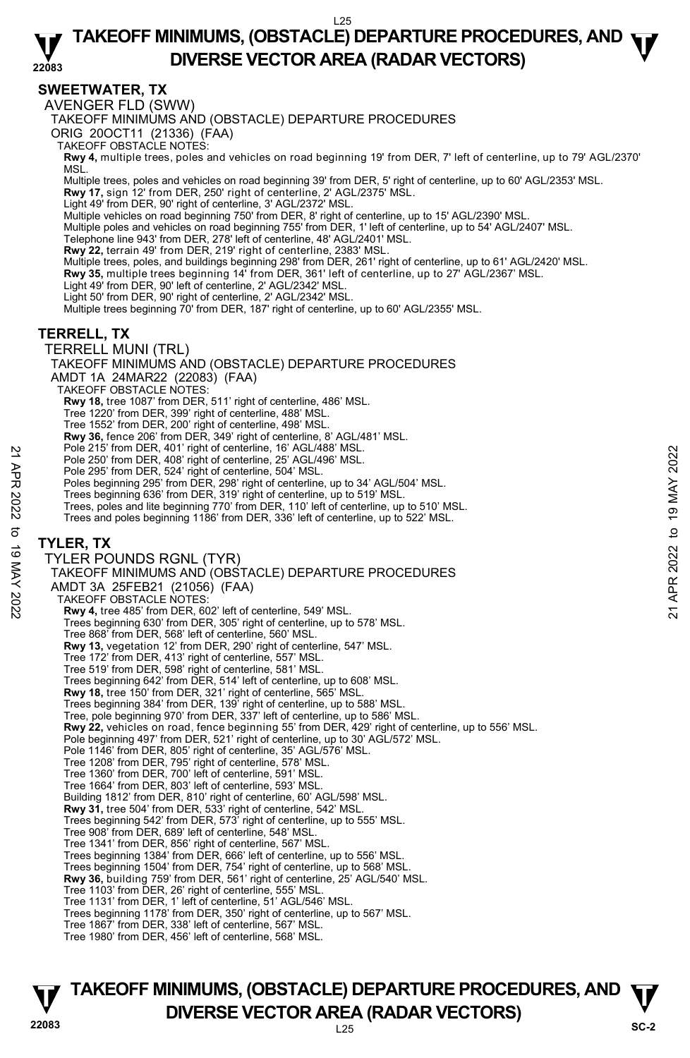#### **22083 TAKEOFF MINIMUMS, (OBSTACLE) DEPARTURE PROCEDURES, AND**  $\Psi$ **DIVERSE VECTOR AREA (RADAR VECTORS)**

# **SWEETWATER, TX**

AVENGER FLD (SWW)

TAKEOFF MINIMUMS AND (OBSTACLE) DEPARTURE PROCEDURES

ORIG 20OCT11 (21336) (FAA)

TAKEOFF OBSTACLE NOTES:

**Rwy 4,** multiple trees, poles and vehicles on road beginning 19' from DER, 7' left of centerline, up to 79' AGL/2370' MSL.

Multiple trees, poles and vehicles on road beginning 39' from DER, 5' right of centerline, up to 60' AGL/2353' MSL.

**Rwy 17,** sign 12' from DER, 250' right of centerline, 2' AGL/2375' MSL.

Light 49' from DER, 90' right of centerline, 3' AGL/2372' MSL.

Multiple vehicles on road beginning 750' from DER, 8' right of centerline, up to 15' AGL/2390' MSL.

Multiple poles and vehicles on road beginning 755' from DER, 1' left of centerline, up to 54' AGL/2407' MSL.

Telephone line 943' from DER, 278' left of centerline, 48' AGL/2401' MSL.<br>**Rwy 22,** terrain 49' from DER, 219' right of centerline, 2383' MSL.

Multiple trees, poles, and buildings beginning 298' from DER, 261' right of centerline, up to 61' AGL/2420' MSL.

**Rwy 35,** multiple trees beginning 14' from DER, 361' left of centerline, up to 27' AGL/2367' MSL.

Light 49' from DER, 90' left of centerline, 2' AGL/2342' MSL.

Light 50' from DER, 90' right of centerline, 2' AGL/2342' MSL.

Multiple trees beginning 70' from DER, 187' right of centerline, up to 60' AGL/2355' MSL.

### **TERRELL, TX**

TERRELL MUNI (TRL)

TAKEOFF MINIMUMS AND (OBSTACLE) DEPARTURE PROCEDURES

AMDT 1A 24MAR22 (22083) (FAA)

TAKEOFF OBSTACLE NOTES:

**Rwy 18,** tree 1087' from DER, 511' right of centerline, 486' MSL.

Tree 1220' from DER, 399' right of centerline, 488' MSL.

Tree 1552' from DER, 200' right of centerline, 498' MSL.

**Rwy 36,** fence 206' from DER, 349' right of centerline, 8' AGL/481' MSL.

Pole 215' from DER, 401' right of centerline, 16' AGL/488' MSL.

Pole 250' from DER, 408' right of centerline, 25' AGL/496' MSL.

Pole 295' from DER, 524' right of centerline, 504' MSL. Poles beginning 295' from DER, 298' right of centerline, up to 34' AGL/504' MSL.

Trees beginning 636' from DER, 319' right of centerline, up to 519' MSL.

Trees, poles and lite beginning 770' from DER, 110' left of centerline, up to 510' MSL.

Trees and poles beginning 1186' from DER, 336' left of centerline, up to 522' MSL.

#### **TYLER, TX**

TYLER POUNDS RGNL (TYR) TAKEOFF MINIMUMS AND (OBSTACLE) DEPARTURE PROCEDURES AMDT 3A 25FEB21 (21056) (FAA) TAKEOFF OBSTACLE NOTES: **Rwy 4,** tree 485' from DER, 602' left of centerline, 549' MSL. Trees beginning 630' from DER, 305' right of centerline, up to 578' MSL. Tree 868' from DER, 568' left of centerline, 560' MSL. **Rwy 13,** vegetation 12' from DER, 290' right of centerline, 547' MSL. Tree 172' from DER, 413' right of centerline, 557' MSL. Tree 519' from DER, 598' right of centerline, 581' MSL. Trees beginning 642' from DER, 514' left of centerline, up to 608' MSL. **Rwy 18,** tree 150' from DER, 321' right of centerline, 565' MSL. Trees beginning 384' from DER, 139' right of centerline, up to 588' MSL. Tree, pole beginning 970' from DER, 337' left of centerline, up to 586' MSL. **Rwy 22,** vehicles on road, fence beginning 55' from DER, 429' right of centerline, up to 556' MSL. Pole beginning 497' from DER, 521' right of centerline, up to 30' AGL/572' MSL. Pole 1146' from DER, 805' right of centerline, 35' AGL/576' MSL. Tree 1208' from DER, 795' right of centerline, 578' MSL. Tree 1360' from DER, 700' left of centerline, 591' MSL. Tree 1664' from DER, 803' left of centerline, 593' MSL. Building 1812' from DER, 810' right of centerline, 60' AGL/598' MSL. **Rwy 31,** tree 504' from DER, 533' right of centerline, 542' MSL. Trees beginning 542' from DER, 573' right of centerline, up to 555' MSL. Tree 908' from DER, 689' left of centerline, 548' MSL. Tree 1341' from DER, 856' right of centerline, 567' MSL. Trees beginning 1384' from DER, 666' left of centerline, up to 556' MSL. Trees beginning 1504' from DER, 754' right of centerline, up to 568' MSL. **Rwy 36,** building 759' from DER, 561' right of centerline, 25' AGL/540' MSL. Tree 1103' from DER, 26' right of centerline, 555' MSL. Tree 1131' from DER, 1' left of centerline, 51' AGL/546' MSL. Trees beginning 1178' from DER, 350' right of centerline, up to 567' MSL. Tree 1867' from DER, 338' left of centerline, 567' MSL. Tree 1980' from DER, 456' left of centerline, 568' MSL. Pole 215' from DER, 408' right of centerline, 19' AGL/498' MSL.<br>
Pole 250' from DER, 408' right of centerline, 504' MSL.<br>
Pole 295' from DER, 524' right of centerline, 504' MSL.<br>
Poles beginning 205' from DER, 319' right o

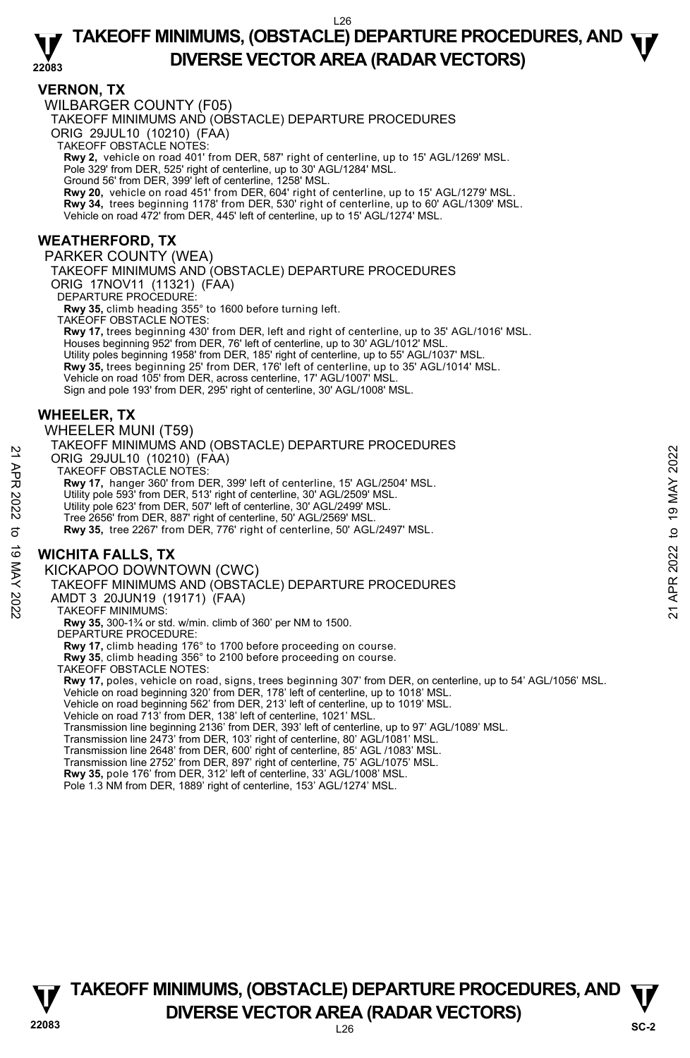#### **22083 TAKEOFF MINIMUMS, (OBSTACLE) DEPARTURE PROCEDURES, AND**  $\Psi$ **DIVERSE VECTOR AREA (RADAR VECTORS)**

### **VERNON, TX**

WILBARGER COUNTY (F05)

TAKEOFF MINIMUMS AND (OBSTACLE) DEPARTURE PROCEDURES

ORIG 29JUL10 (10210) (FAA)

TAKEOFF OBSTACLE NOTES:

**Rwy 2,** vehicle on road 401' from DER, 587' right of centerline, up to 15' AGL/1269' MSL.<br>Pole 329' from DER, 525' right of centerline, up to 30' AGL/1284' MSL.

Ground 56' from DER, 399' left of centerline, 1258' MSL.

**Rwy 20,** vehicle on road 451' from DER, 604' right of centerline, up to 15' AGL/1279' MSL.

**Rwy 34,** trees beginning 1178' from DER, 530' right of centerline, up to 60' AGL/1309' MSL.

Vehicle on road 472' from DER, 445' left of centerline, up to 15' AGL/1274' MSL.

# **WEATHERFORD, TX**

PARKER COUNTY (WEA) TAKEOFF MINIMUMS AND (OBSTACLE) DEPARTURE PROCEDURES ORIG 17NOV11 (11321) (FAA) DEPARTURE PROCEDURE:

**Rwy 35,** climb heading 355° to 1600 before turning left.

TAKEOFF OBSTACLE NOTES: **Rwy 17,** trees beginning 430' from DER, left and right of centerline, up to 35' AGL/1016' MSL. Houses beginning 952' from DER, 76' left of centerline, up to 30' AGL/1012' MSL. Utility poles beginning 1958' from DER, 185' right of centerline, up to 55' AGL/1037' MSL.<br>**Rwy 35,** trees beginning 25' from DER, 176' left of centerline, up to 35' AGL/1014' MSL. Vehicle on road 105' from DER, across centerline, 17' AGL/1007' MSL.

Sign and pole 193' from DER, 295' right of centerline, 30' AGL/1008' MSL.

# **WHEELER, TX**

WHEELER MUNI (T59)

TAKEOFF MINIMUMS AND (OBSTACLE) DEPARTURE PROCEDURES ORIG 29JUL10 (10210) (FAA) 22 A RINCO 29JUL10 (10210) (FAA)<br>
22 A TAKEOFF OBSTACLE NOTES:<br>
22 TAKEOFF OBSTACLE NOTES.<br>
22 TAKEOFF OBSTACLE NOTES.<br>
23 Rwy 17, hanger 360' from DER, 513' right of centerline, 30' AGL/2509' MSL.<br>
23 Utility pole 623' f

TAKEOFF OBSTACLE NOTES:

**Rwy 17,** hanger 360' from DER, 399' left of centerline, 15' AGL/2504' MSL.

Utility pole 593' from DER, 513' right of centerline, 30' AGL/2509' MSL.

Utility pole 623' from DER, 507' left of centerline, 30' AGL/2499' MSL.

Tree 2656' from DER, 887' right of centerline, 50' AGL/2569' MSL.

**Rwy 35,** tree 2267' from DER, 776' right of centerline, 50' AGL/2497' MSL.

# **WICHITA FALLS, TX**

KICKAPOO DOWNTOWN (CWC)

TAKEOFF MINIMUMS AND (OBSTACLE) DEPARTURE PROCEDURES

AMDT 3 20JUN19 (19171) (FAA)

TAKEOFF MINIMUMS:

**Rwy 35,** 300-1¾ or std. w/min. climb of 360' per NM to 1500.

DEPARTURE PROCEDURE:

**Rwy 17,** climb heading 176° to 1700 before proceeding on course.

**Rwy 35**, climb heading 356° to 2100 before proceeding on course.

TAKEOFF OBSTACLE NOTES:

**Rwy 17,** poles, vehicle on road, signs, trees beginning 307' from DER, on centerline, up to 54' AGL/1056' MSL.<br>Vehicle on road beginning 320' from DER, 178' left of centerline, up to 1018' MSL.<br>Vehicle on road beginning 5

Vehicle on road 713' from DER, 138' left of centerline, 1021' MSL.

Transmission line beginning 2136' from DER, 393' left of centerline, up to 97' AGL/1089' MSL.

Transmission line 2473' from DER, 103' right of centerline, 80' AGL/1081' MSL.

Transmission line 2648' from DER, 600' right of centerline, 85' AGL /1083' MSL. Transmission line 2752' from DER, 897' right of centerline, 75' AGL/1075' MSL.

**Rwy 35,** pole 176' from DER, 312' left of centerline, 33' AGL/1008' MSL. Pole 1.3 NM from DER, 1889' right of centerline, 153' AGL/1274' MSL.